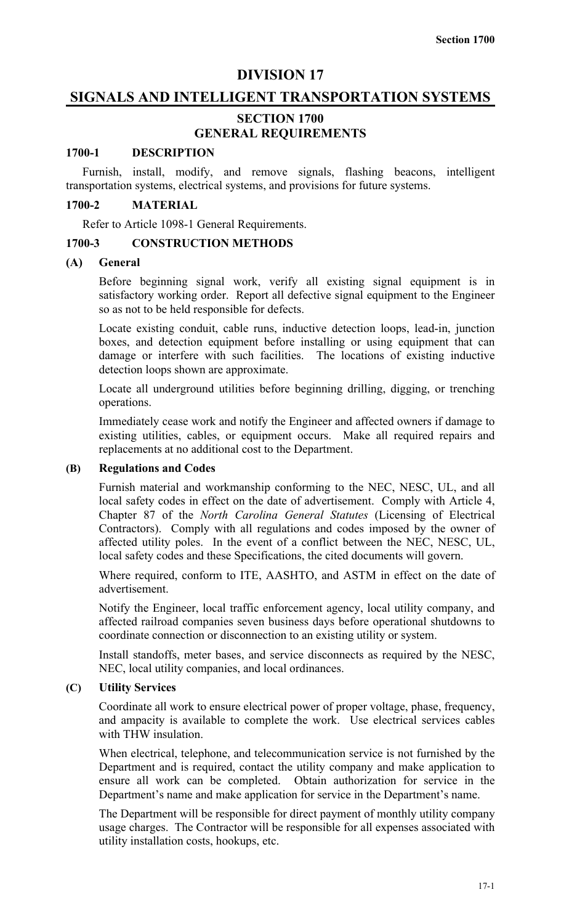# **DIVISION 17**

# **SIGNALS AND INTELLIGENT TRANSPORTATION SYSTEMS**

# **SECTION 1700 GENERAL REQUIREMENTS**

## **1700-1 DESCRIPTION**

Furnish, install, modify, and remove signals, flashing beacons, intelligent transportation systems, electrical systems, and provisions for future systems.

## **1700-2 MATERIAL**

Refer to Article 1098-1 General Requirements.

#### **1700-3 CONSTRUCTION METHODS**

## **(A) General**

Before beginning signal work, verify all existing signal equipment is in satisfactory working order. Report all defective signal equipment to the Engineer so as not to be held responsible for defects.

Locate existing conduit, cable runs, inductive detection loops, lead-in, junction boxes, and detection equipment before installing or using equipment that can damage or interfere with such facilities. The locations of existing inductive detection loops shown are approximate.

Locate all underground utilities before beginning drilling, digging, or trenching operations.

Immediately cease work and notify the Engineer and affected owners if damage to existing utilities, cables, or equipment occurs. Make all required repairs and replacements at no additional cost to the Department.

# **(B) Regulations and Codes**

Furnish material and workmanship conforming to the NEC, NESC, UL, and all local safety codes in effect on the date of advertisement. Comply with Article 4, Chapter 87 of the *North Carolina General Statutes* (Licensing of Electrical Contractors). Comply with all regulations and codes imposed by the owner of affected utility poles. In the event of a conflict between the NEC, NESC, UL, local safety codes and these Specifications, the cited documents will govern.

Where required, conform to ITE, AASHTO, and ASTM in effect on the date of advertisement.

Notify the Engineer, local traffic enforcement agency, local utility company, and affected railroad companies seven business days before operational shutdowns to coordinate connection or disconnection to an existing utility or system.

Install standoffs, meter bases, and service disconnects as required by the NESC, NEC, local utility companies, and local ordinances.

#### **(C) Utility Services**

Coordinate all work to ensure electrical power of proper voltage, phase, frequency, and ampacity is available to complete the work. Use electrical services cables with THW insulation.

When electrical, telephone, and telecommunication service is not furnished by the Department and is required, contact the utility company and make application to ensure all work can be completed. Obtain authorization for service in the Department's name and make application for service in the Department's name.

The Department will be responsible for direct payment of monthly utility company usage charges. The Contractor will be responsible for all expenses associated with utility installation costs, hookups, etc.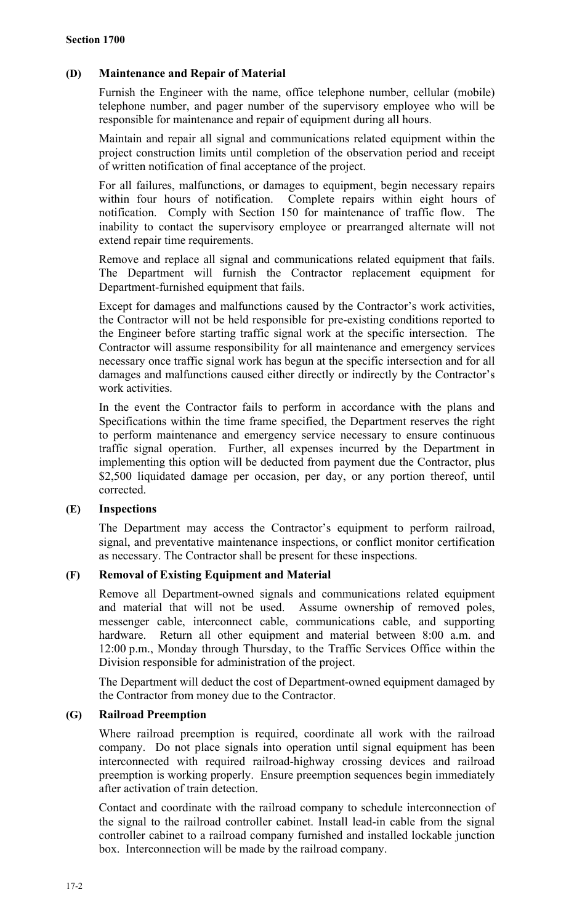# **(D) Maintenance and Repair of Material**

Furnish the Engineer with the name, office telephone number, cellular (mobile) telephone number, and pager number of the supervisory employee who will be responsible for maintenance and repair of equipment during all hours.

Maintain and repair all signal and communications related equipment within the project construction limits until completion of the observation period and receipt of written notification of final acceptance of the project.

For all failures, malfunctions, or damages to equipment, begin necessary repairs within four hours of notification. Complete repairs within eight hours of notification. Comply with Section 150 for maintenance of traffic flow. The inability to contact the supervisory employee or prearranged alternate will not extend repair time requirements.

Remove and replace all signal and communications related equipment that fails. The Department will furnish the Contractor replacement equipment for Department-furnished equipment that fails.

Except for damages and malfunctions caused by the Contractor's work activities, the Contractor will not be held responsible for pre-existing conditions reported to the Engineer before starting traffic signal work at the specific intersection. The Contractor will assume responsibility for all maintenance and emergency services necessary once traffic signal work has begun at the specific intersection and for all damages and malfunctions caused either directly or indirectly by the Contractor's work activities.

In the event the Contractor fails to perform in accordance with the plans and Specifications within the time frame specified, the Department reserves the right to perform maintenance and emergency service necessary to ensure continuous traffic signal operation. Further, all expenses incurred by the Department in implementing this option will be deducted from payment due the Contractor, plus \$2,500 liquidated damage per occasion, per day, or any portion thereof, until corrected.

# **(E) Inspections**

The Department may access the Contractor's equipment to perform railroad, signal, and preventative maintenance inspections, or conflict monitor certification as necessary. The Contractor shall be present for these inspections.

# **(F) Removal of Existing Equipment and Material**

Remove all Department-owned signals and communications related equipment and material that will not be used. Assume ownership of removed poles, messenger cable, interconnect cable, communications cable, and supporting hardware. Return all other equipment and material between 8:00 a.m. and 12:00 p.m., Monday through Thursday, to the Traffic Services Office within the Division responsible for administration of the project.

The Department will deduct the cost of Department-owned equipment damaged by the Contractor from money due to the Contractor.

## **(G) Railroad Preemption**

Where railroad preemption is required, coordinate all work with the railroad company. Do not place signals into operation until signal equipment has been interconnected with required railroad-highway crossing devices and railroad preemption is working properly. Ensure preemption sequences begin immediately after activation of train detection.

Contact and coordinate with the railroad company to schedule interconnection of the signal to the railroad controller cabinet. Install lead-in cable from the signal controller cabinet to a railroad company furnished and installed lockable junction box. Interconnection will be made by the railroad company.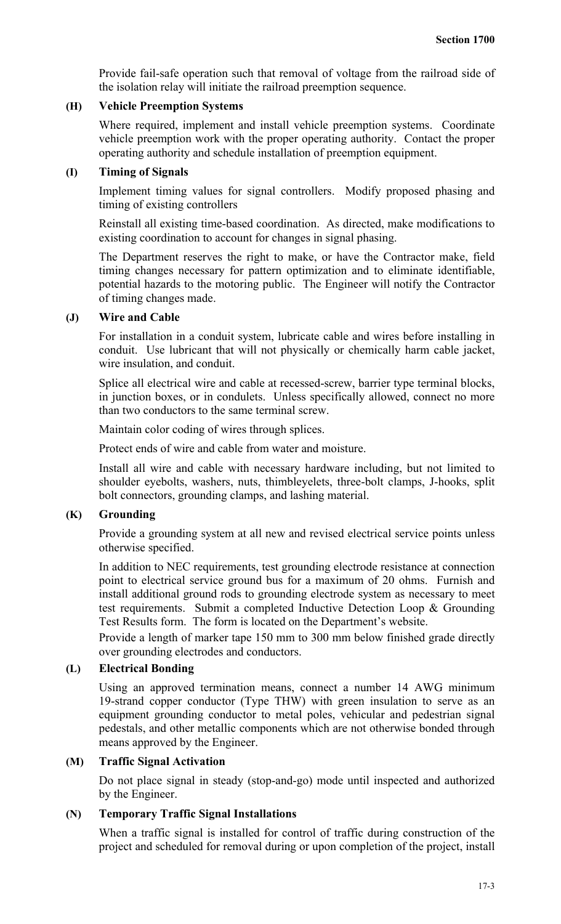Provide fail-safe operation such that removal of voltage from the railroad side of the isolation relay will initiate the railroad preemption sequence.

## **(H) Vehicle Preemption Systems**

Where required, implement and install vehicle preemption systems. Coordinate vehicle preemption work with the proper operating authority. Contact the proper operating authority and schedule installation of preemption equipment.

## **(I) Timing of Signals**

Implement timing values for signal controllers. Modify proposed phasing and timing of existing controllers

Reinstall all existing time-based coordination. As directed, make modifications to existing coordination to account for changes in signal phasing.

The Department reserves the right to make, or have the Contractor make, field timing changes necessary for pattern optimization and to eliminate identifiable, potential hazards to the motoring public. The Engineer will notify the Contractor of timing changes made.

## **(J) Wire and Cable**

For installation in a conduit system, lubricate cable and wires before installing in conduit. Use lubricant that will not physically or chemically harm cable jacket, wire insulation, and conduit.

Splice all electrical wire and cable at recessed-screw, barrier type terminal blocks, in junction boxes, or in condulets. Unless specifically allowed, connect no more than two conductors to the same terminal screw.

Maintain color coding of wires through splices.

Protect ends of wire and cable from water and moisture.

Install all wire and cable with necessary hardware including, but not limited to shoulder eyebolts, washers, nuts, thimbleyelets, three-bolt clamps, J-hooks, split bolt connectors, grounding clamps, and lashing material.

# **(K) Grounding**

Provide a grounding system at all new and revised electrical service points unless otherwise specified.

In addition to NEC requirements, test grounding electrode resistance at connection point to electrical service ground bus for a maximum of 20 ohms. Furnish and install additional ground rods to grounding electrode system as necessary to meet test requirements. Submit a completed Inductive Detection Loop & Grounding Test Results form. The form is located on the Department's website.

Provide a length of marker tape 150 mm to 300 mm below finished grade directly over grounding electrodes and conductors.

# **(L) Electrical Bonding**

Using an approved termination means, connect a number 14 AWG minimum 19-strand copper conductor (Type THW) with green insulation to serve as an equipment grounding conductor to metal poles, vehicular and pedestrian signal pedestals, and other metallic components which are not otherwise bonded through means approved by the Engineer.

# **(M) Traffic Signal Activation**

Do not place signal in steady (stop-and-go) mode until inspected and authorized by the Engineer.

# **(N) Temporary Traffic Signal Installations**

When a traffic signal is installed for control of traffic during construction of the project and scheduled for removal during or upon completion of the project, install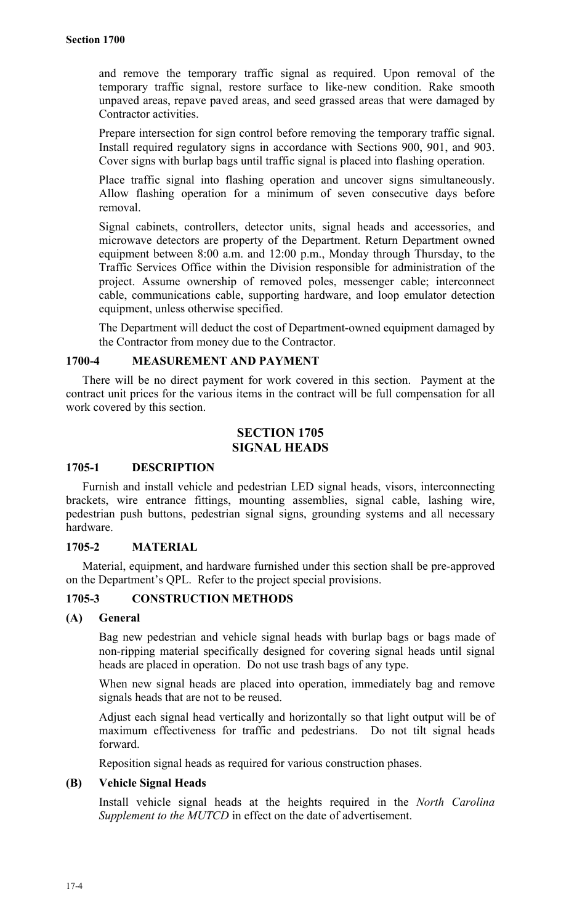and remove the temporary traffic signal as required. Upon removal of the temporary traffic signal, restore surface to like-new condition. Rake smooth unpaved areas, repave paved areas, and seed grassed areas that were damaged by Contractor activities.

Prepare intersection for sign control before removing the temporary traffic signal. Install required regulatory signs in accordance with Sections 900, 901, and 903. Cover signs with burlap bags until traffic signal is placed into flashing operation.

Place traffic signal into flashing operation and uncover signs simultaneously. Allow flashing operation for a minimum of seven consecutive days before removal.

Signal cabinets, controllers, detector units, signal heads and accessories, and microwave detectors are property of the Department. Return Department owned equipment between 8:00 a.m. and 12:00 p.m., Monday through Thursday, to the Traffic Services Office within the Division responsible for administration of the project. Assume ownership of removed poles, messenger cable; interconnect cable, communications cable, supporting hardware, and loop emulator detection equipment, unless otherwise specified.

The Department will deduct the cost of Department-owned equipment damaged by the Contractor from money due to the Contractor.

## **1700-4 MEASUREMENT AND PAYMENT**

There will be no direct payment for work covered in this section. Payment at the contract unit prices for the various items in the contract will be full compensation for all work covered by this section.

# **SECTION 1705 SIGNAL HEADS**

## **1705-1 DESCRIPTION**

Furnish and install vehicle and pedestrian LED signal heads, visors, interconnecting brackets, wire entrance fittings, mounting assemblies, signal cable, lashing wire, pedestrian push buttons, pedestrian signal signs, grounding systems and all necessary hardware.

# **1705-2 MATERIAL**

Material, equipment, and hardware furnished under this section shall be pre-approved on the Department's QPL. Refer to the project special provisions.

# **1705-3 CONSTRUCTION METHODS**

## **(A) General**

Bag new pedestrian and vehicle signal heads with burlap bags or bags made of non-ripping material specifically designed for covering signal heads until signal heads are placed in operation. Do not use trash bags of any type.

When new signal heads are placed into operation, immediately bag and remove signals heads that are not to be reused.

Adjust each signal head vertically and horizontally so that light output will be of maximum effectiveness for traffic and pedestrians. Do not tilt signal heads forward.

Reposition signal heads as required for various construction phases.

# **(B) Vehicle Signal Heads**

Install vehicle signal heads at the heights required in the *North Carolina Supplement to the MUTCD* in effect on the date of advertisement.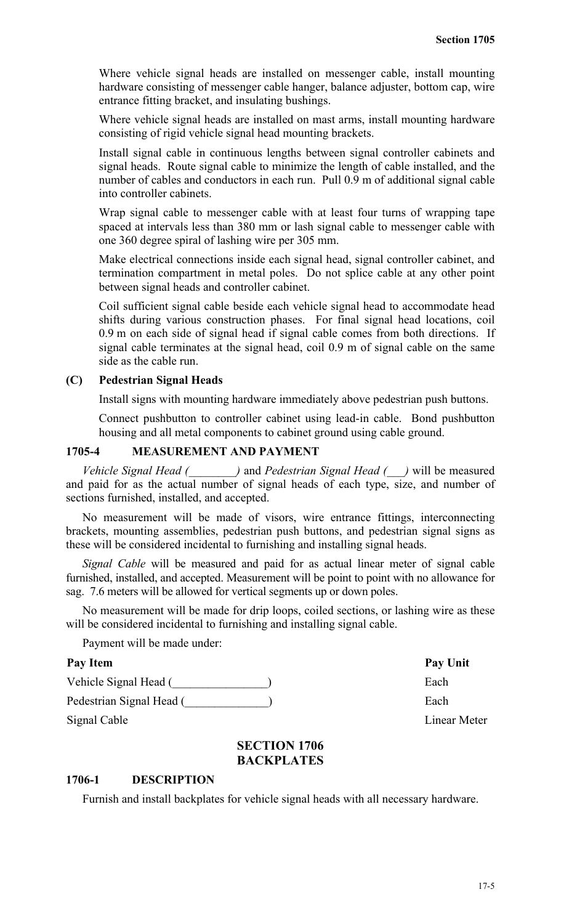Where vehicle signal heads are installed on messenger cable, install mounting hardware consisting of messenger cable hanger, balance adjuster, bottom cap, wire entrance fitting bracket, and insulating bushings.

Where vehicle signal heads are installed on mast arms, install mounting hardware consisting of rigid vehicle signal head mounting brackets.

Install signal cable in continuous lengths between signal controller cabinets and signal heads. Route signal cable to minimize the length of cable installed, and the number of cables and conductors in each run. Pull 0.9 m of additional signal cable into controller cabinets.

Wrap signal cable to messenger cable with at least four turns of wrapping tape spaced at intervals less than 380 mm or lash signal cable to messenger cable with one 360 degree spiral of lashing wire per 305 mm.

Make electrical connections inside each signal head, signal controller cabinet, and termination compartment in metal poles. Do not splice cable at any other point between signal heads and controller cabinet.

Coil sufficient signal cable beside each vehicle signal head to accommodate head shifts during various construction phases. For final signal head locations, coil 0.9 m on each side of signal head if signal cable comes from both directions. If signal cable terminates at the signal head, coil 0.9 m of signal cable on the same side as the cable run.

# **(C) Pedestrian Signal Heads**

Install signs with mounting hardware immediately above pedestrian push buttons.

Connect pushbutton to controller cabinet using lead-in cable. Bond pushbutton housing and all metal components to cabinet ground using cable ground.

# **1705-4 MEASUREMENT AND PAYMENT**

*Vehicle Signal Head (\_\_\_\_\_\_\_\_)* and *Pedestrian Signal Head (\_\_\_)* will be measured and paid for as the actual number of signal heads of each type, size, and number of sections furnished, installed, and accepted.

No measurement will be made of visors, wire entrance fittings, interconnecting brackets, mounting assemblies, pedestrian push buttons, and pedestrian signal signs as these will be considered incidental to furnishing and installing signal heads.

*Signal Cable* will be measured and paid for as actual linear meter of signal cable furnished, installed, and accepted. Measurement will be point to point with no allowance for sag. 7.6 meters will be allowed for vertical segments up or down poles.

No measurement will be made for drip loops, coiled sections, or lashing wire as these will be considered incidental to furnishing and installing signal cable.

Payment will be made under:

## Pay Item Pay Unit

Vehicle Signal Head (\_\_\_\_\_\_\_\_\_\_\_\_\_\_\_\_\_\_\_) Each

Pedestrian Signal Head (\_\_\_\_\_\_\_\_\_\_\_\_\_) Each

Signal Cable Linear Meter

## **SECTION 1706 BACKPLATES**

#### **1706-1 DESCRIPTION**

Furnish and install backplates for vehicle signal heads with all necessary hardware.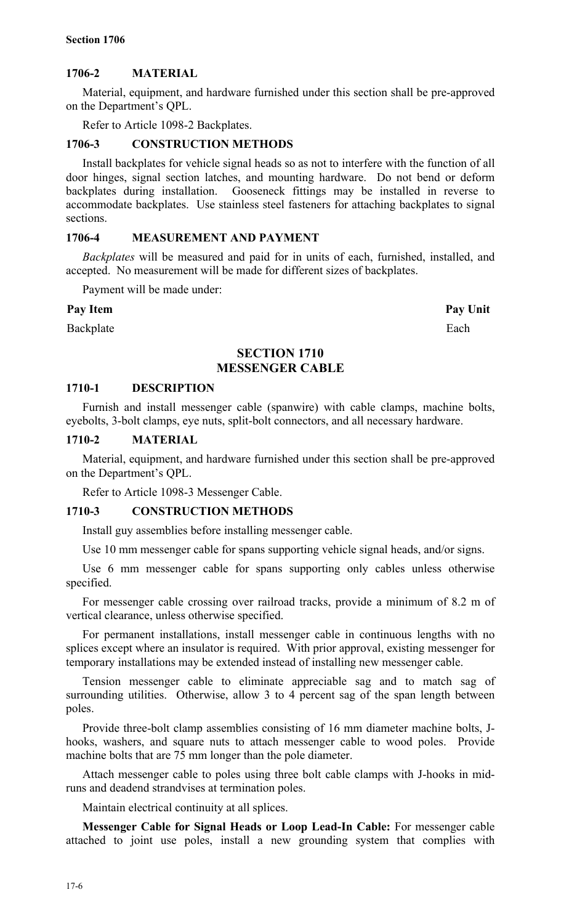# **1706-2 MATERIAL**

Material, equipment, and hardware furnished under this section shall be pre-approved on the Department's QPL.

Refer to Article 1098-2 Backplates.

# **1706-3 CONSTRUCTION METHODS**

Install backplates for vehicle signal heads so as not to interfere with the function of all door hinges, signal section latches, and mounting hardware. Do not bend or deform backplates during installation. Gooseneck fittings may be installed in reverse to accommodate backplates. Use stainless steel fasteners for attaching backplates to signal sections.

## **1706-4 MEASUREMENT AND PAYMENT**

*Backplates* will be measured and paid for in units of each, furnished, installed, and accepted. No measurement will be made for different sizes of backplates.

Payment will be made under:

## Pay Item Pay Unit

Backplate Each

# **SECTION 1710 MESSENGER CABLE**

## **1710-1 DESCRIPTION**

Furnish and install messenger cable (spanwire) with cable clamps, machine bolts, eyebolts, 3-bolt clamps, eye nuts, split-bolt connectors, and all necessary hardware.

## **1710-2 MATERIAL**

Material, equipment, and hardware furnished under this section shall be pre-approved on the Department's QPL.

Refer to Article 1098-3 Messenger Cable.

## **1710-3 CONSTRUCTION METHODS**

Install guy assemblies before installing messenger cable.

Use 10 mm messenger cable for spans supporting vehicle signal heads, and/or signs.

Use 6 mm messenger cable for spans supporting only cables unless otherwise specified.

For messenger cable crossing over railroad tracks, provide a minimum of 8.2 m of vertical clearance, unless otherwise specified.

For permanent installations, install messenger cable in continuous lengths with no splices except where an insulator is required. With prior approval, existing messenger for temporary installations may be extended instead of installing new messenger cable.

Tension messenger cable to eliminate appreciable sag and to match sag of surrounding utilities. Otherwise, allow 3 to 4 percent sag of the span length between poles.

Provide three-bolt clamp assemblies consisting of 16 mm diameter machine bolts, Jhooks, washers, and square nuts to attach messenger cable to wood poles. Provide machine bolts that are 75 mm longer than the pole diameter.

Attach messenger cable to poles using three bolt cable clamps with J-hooks in midruns and deadend strandvises at termination poles.

Maintain electrical continuity at all splices.

**Messenger Cable for Signal Heads or Loop Lead-In Cable:** For messenger cable attached to joint use poles, install a new grounding system that complies with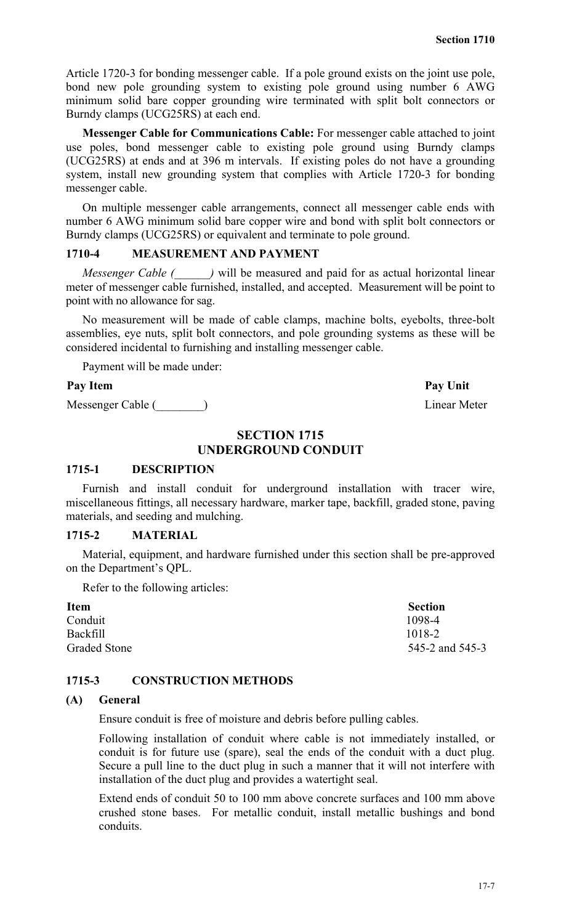Article 1720-3 for bonding messenger cable. If a pole ground exists on the joint use pole, bond new pole grounding system to existing pole ground using number 6 AWG minimum solid bare copper grounding wire terminated with split bolt connectors or Burndy clamps (UCG25RS) at each end.

**Messenger Cable for Communications Cable:** For messenger cable attached to joint use poles, bond messenger cable to existing pole ground using Burndy clamps (UCG25RS) at ends and at 396 m intervals. If existing poles do not have a grounding system, install new grounding system that complies with Article 1720-3 for bonding messenger cable.

On multiple messenger cable arrangements, connect all messenger cable ends with number 6 AWG minimum solid bare copper wire and bond with split bolt connectors or Burndy clamps (UCG25RS) or equivalent and terminate to pole ground.

# **1710-4 MEASUREMENT AND PAYMENT**

*Messenger Cable (*  $\rightarrow$  *)* will be measured and paid for as actual horizontal linear meter of messenger cable furnished, installed, and accepted. Measurement will be point to point with no allowance for sag.

No measurement will be made of cable clamps, machine bolts, eyebolts, three-bolt assemblies, eye nuts, split bolt connectors, and pole grounding systems as these will be considered incidental to furnishing and installing messenger cable.

Payment will be made under:

## Pay Item Pay Unit

Messenger Cable (\_\_\_\_\_\_\_\_) Linear Meter

# **SECTION 1715 UNDERGROUND CONDUIT**

## **1715-1 DESCRIPTION**

Furnish and install conduit for underground installation with tracer wire, miscellaneous fittings, all necessary hardware, marker tape, backfill, graded stone, paving materials, and seeding and mulching.

## **1715-2 MATERIAL**

Material, equipment, and hardware furnished under this section shall be pre-approved on the Department's QPL.

Refer to the following articles:

| <b>Item</b>         | <b>Section</b>  |
|---------------------|-----------------|
| Conduit             | 1098-4          |
| Backfill            | 1018-2          |
| <b>Graded Stone</b> | 545-2 and 545-3 |

## **1715-3 CONSTRUCTION METHODS**

## **(A) General**

Ensure conduit is free of moisture and debris before pulling cables.

Following installation of conduit where cable is not immediately installed, or conduit is for future use (spare), seal the ends of the conduit with a duct plug. Secure a pull line to the duct plug in such a manner that it will not interfere with installation of the duct plug and provides a watertight seal.

Extend ends of conduit 50 to 100 mm above concrete surfaces and 100 mm above crushed stone bases. For metallic conduit, install metallic bushings and bond conduits.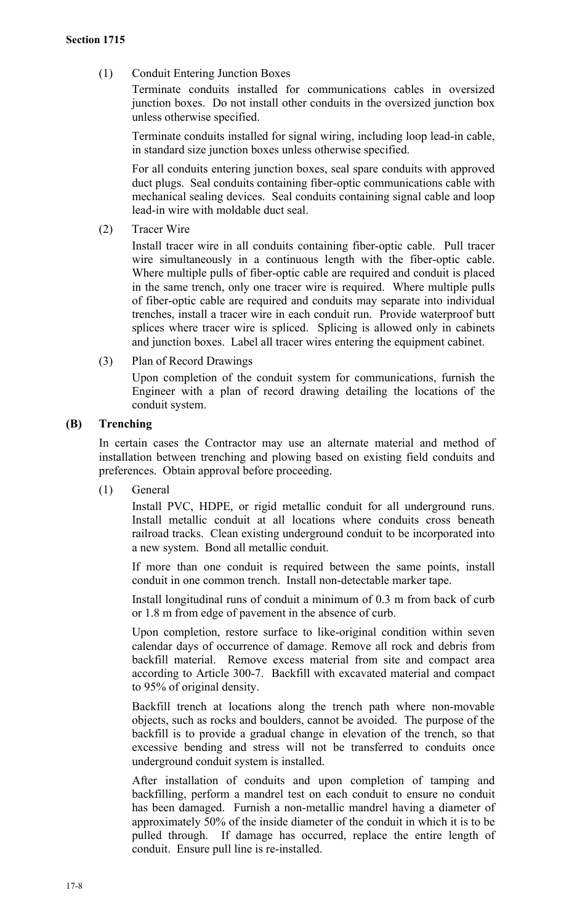(1) Conduit Entering Junction Boxes

Terminate conduits installed for communications cables in oversized junction boxes. Do not install other conduits in the oversized junction box unless otherwise specified.

Terminate conduits installed for signal wiring, including loop lead-in cable, in standard size junction boxes unless otherwise specified.

For all conduits entering junction boxes, seal spare conduits with approved duct plugs. Seal conduits containing fiber-optic communications cable with mechanical sealing devices. Seal conduits containing signal cable and loop lead-in wire with moldable duct seal.

(2) Tracer Wire

Install tracer wire in all conduits containing fiber-optic cable. Pull tracer wire simultaneously in a continuous length with the fiber-optic cable. Where multiple pulls of fiber-optic cable are required and conduit is placed in the same trench, only one tracer wire is required. Where multiple pulls of fiber-optic cable are required and conduits may separate into individual trenches, install a tracer wire in each conduit run. Provide waterproof butt splices where tracer wire is spliced. Splicing is allowed only in cabinets and junction boxes. Label all tracer wires entering the equipment cabinet.

(3) Plan of Record Drawings

Upon completion of the conduit system for communications, furnish the Engineer with a plan of record drawing detailing the locations of the conduit system.

# **(B) Trenching**

In certain cases the Contractor may use an alternate material and method of installation between trenching and plowing based on existing field conduits and preferences. Obtain approval before proceeding.

(1) General

Install PVC, HDPE, or rigid metallic conduit for all underground runs. Install metallic conduit at all locations where conduits cross beneath railroad tracks. Clean existing underground conduit to be incorporated into a new system. Bond all metallic conduit.

If more than one conduit is required between the same points, install conduit in one common trench. Install non-detectable marker tape.

Install longitudinal runs of conduit a minimum of 0.3 m from back of curb or 1.8 m from edge of pavement in the absence of curb.

Upon completion, restore surface to like-original condition within seven calendar days of occurrence of damage. Remove all rock and debris from backfill material. Remove excess material from site and compact area according to Article 300-7. Backfill with excavated material and compact to 95% of original density.

Backfill trench at locations along the trench path where non-movable objects, such as rocks and boulders, cannot be avoided. The purpose of the backfill is to provide a gradual change in elevation of the trench, so that excessive bending and stress will not be transferred to conduits once underground conduit system is installed.

After installation of conduits and upon completion of tamping and backfilling, perform a mandrel test on each conduit to ensure no conduit has been damaged. Furnish a non-metallic mandrel having a diameter of approximately 50% of the inside diameter of the conduit in which it is to be pulled through. If damage has occurred, replace the entire length of conduit. Ensure pull line is re-installed.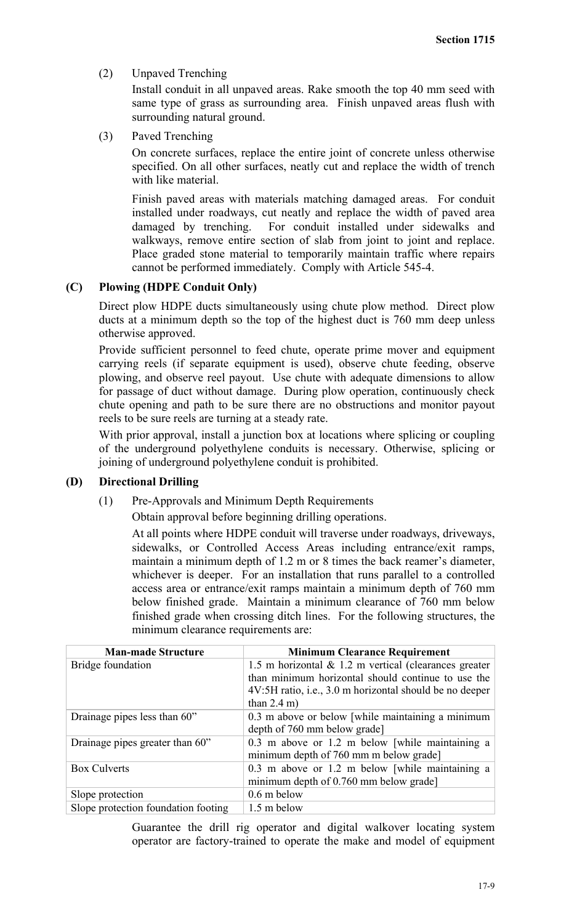(2) Unpaved Trenching

Install conduit in all unpaved areas. Rake smooth the top 40 mm seed with same type of grass as surrounding area. Finish unpaved areas flush with surrounding natural ground.

(3) Paved Trenching

On concrete surfaces, replace the entire joint of concrete unless otherwise specified. On all other surfaces, neatly cut and replace the width of trench with like material.

Finish paved areas with materials matching damaged areas. For conduit installed under roadways, cut neatly and replace the width of paved area damaged by trenching. For conduit installed under sidewalks and walkways, remove entire section of slab from joint to joint and replace. Place graded stone material to temporarily maintain traffic where repairs cannot be performed immediately. Comply with Article 545-4.

# **(C) Plowing (HDPE Conduit Only)**

Direct plow HDPE ducts simultaneously using chute plow method. Direct plow ducts at a minimum depth so the top of the highest duct is 760 mm deep unless otherwise approved.

Provide sufficient personnel to feed chute, operate prime mover and equipment carrying reels (if separate equipment is used), observe chute feeding, observe plowing, and observe reel payout. Use chute with adequate dimensions to allow for passage of duct without damage. During plow operation, continuously check chute opening and path to be sure there are no obstructions and monitor payout reels to be sure reels are turning at a steady rate.

With prior approval, install a junction box at locations where splicing or coupling of the underground polyethylene conduits is necessary. Otherwise, splicing or joining of underground polyethylene conduit is prohibited.

## **(D) Directional Drilling**

(1) Pre-Approvals and Minimum Depth Requirements

Obtain approval before beginning drilling operations.

At all points where HDPE conduit will traverse under roadways, driveways, sidewalks, or Controlled Access Areas including entrance/exit ramps, maintain a minimum depth of 1.2 m or 8 times the back reamer's diameter, whichever is deeper. For an installation that runs parallel to a controlled access area or entrance/exit ramps maintain a minimum depth of 760 mm below finished grade. Maintain a minimum clearance of 760 mm below finished grade when crossing ditch lines. For the following structures, the minimum clearance requirements are:

| <b>Man-made Structure</b>           | <b>Minimum Clearance Requirement</b>                     |
|-------------------------------------|----------------------------------------------------------|
| Bridge foundation                   | 1.5 m horizontal $\&$ 1.2 m vertical (clearances greater |
|                                     | than minimum horizontal should continue to use the       |
|                                     | 4V:5H ratio, i.e., 3.0 m horizontal should be no deeper  |
|                                     | than $2.4 \text{ m}$ )                                   |
| Drainage pipes less than 60"        | 0.3 m above or below [while maintaining a minimum        |
|                                     | depth of 760 mm below grade]                             |
| Drainage pipes greater than 60"     | 0.3 m above or 1.2 m below [while maintaining a]         |
|                                     | minimum depth of 760 mm m below grade]                   |
| <b>Box Culverts</b>                 | $0.3$ m above or 1.2 m below [while maintaining a]       |
|                                     | minimum depth of 0.760 mm below grade]                   |
| Slope protection                    | $0.6$ m below                                            |
| Slope protection foundation footing | 1.5 m below                                              |

Guarantee the drill rig operator and digital walkover locating system operator are factory-trained to operate the make and model of equipment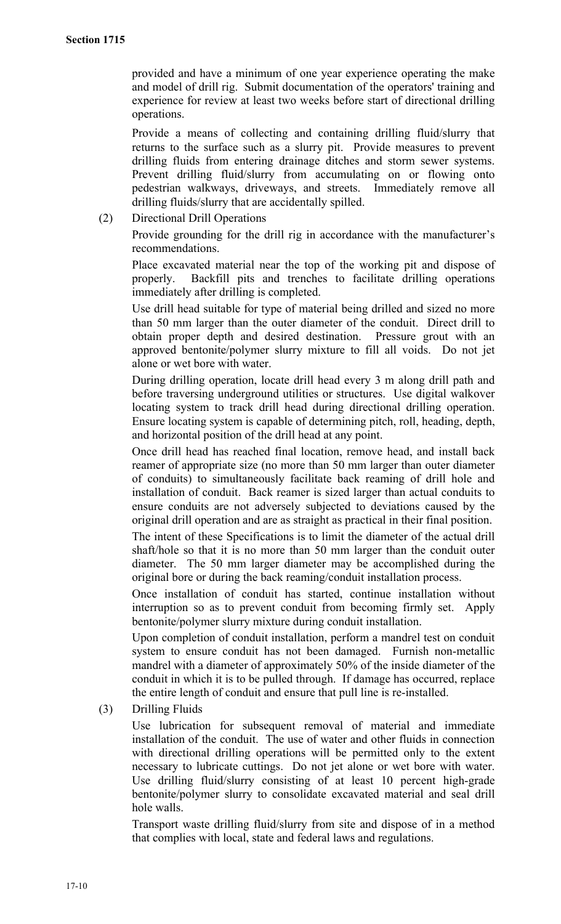provided and have a minimum of one year experience operating the make and model of drill rig. Submit documentation of the operators' training and experience for review at least two weeks before start of directional drilling operations.

Provide a means of collecting and containing drilling fluid/slurry that returns to the surface such as a slurry pit. Provide measures to prevent drilling fluids from entering drainage ditches and storm sewer systems. Prevent drilling fluid/slurry from accumulating on or flowing onto pedestrian walkways, driveways, and streets. Immediately remove all drilling fluids/slurry that are accidentally spilled.

(2) Directional Drill Operations

Provide grounding for the drill rig in accordance with the manufacturer's recommendations.

Place excavated material near the top of the working pit and dispose of properly. Backfill pits and trenches to facilitate drilling operations immediately after drilling is completed.

Use drill head suitable for type of material being drilled and sized no more than 50 mm larger than the outer diameter of the conduit. Direct drill to obtain proper depth and desired destination. Pressure grout with an approved bentonite/polymer slurry mixture to fill all voids. Do not jet alone or wet bore with water.

During drilling operation, locate drill head every 3 m along drill path and before traversing underground utilities or structures. Use digital walkover locating system to track drill head during directional drilling operation. Ensure locating system is capable of determining pitch, roll, heading, depth, and horizontal position of the drill head at any point.

Once drill head has reached final location, remove head, and install back reamer of appropriate size (no more than 50 mm larger than outer diameter of conduits) to simultaneously facilitate back reaming of drill hole and installation of conduit. Back reamer is sized larger than actual conduits to ensure conduits are not adversely subjected to deviations caused by the original drill operation and are as straight as practical in their final position.

The intent of these Specifications is to limit the diameter of the actual drill shaft/hole so that it is no more than 50 mm larger than the conduit outer diameter. The 50 mm larger diameter may be accomplished during the original bore or during the back reaming/conduit installation process.

Once installation of conduit has started, continue installation without interruption so as to prevent conduit from becoming firmly set. Apply bentonite/polymer slurry mixture during conduit installation.

Upon completion of conduit installation, perform a mandrel test on conduit system to ensure conduit has not been damaged. Furnish non-metallic mandrel with a diameter of approximately 50% of the inside diameter of the conduit in which it is to be pulled through. If damage has occurred, replace the entire length of conduit and ensure that pull line is re-installed.

(3) Drilling Fluids

Use lubrication for subsequent removal of material and immediate installation of the conduit. The use of water and other fluids in connection with directional drilling operations will be permitted only to the extent necessary to lubricate cuttings. Do not jet alone or wet bore with water. Use drilling fluid/slurry consisting of at least 10 percent high-grade bentonite/polymer slurry to consolidate excavated material and seal drill hole walls.

Transport waste drilling fluid/slurry from site and dispose of in a method that complies with local, state and federal laws and regulations.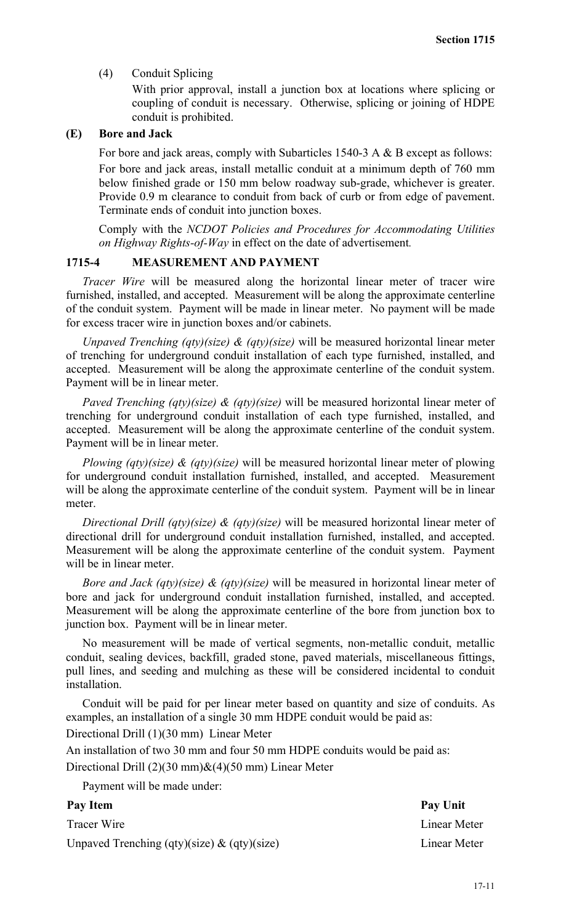(4) Conduit Splicing

With prior approval, install a junction box at locations where splicing or coupling of conduit is necessary. Otherwise, splicing or joining of HDPE conduit is prohibited.

## **(E) Bore and Jack**

For bore and jack areas, comply with Subarticles 1540-3 A & B except as follows:

For bore and jack areas, install metallic conduit at a minimum depth of 760 mm below finished grade or 150 mm below roadway sub-grade, whichever is greater. Provide 0.9 m clearance to conduit from back of curb or from edge of pavement. Terminate ends of conduit into junction boxes.

Comply with the *NCDOT Policies and Procedures for Accommodating Utilities on Highway Rights-of-Way* in effect on the date of advertisement*.*

## **1715-4 MEASUREMENT AND PAYMENT**

*Tracer Wire* will be measured along the horizontal linear meter of tracer wire furnished, installed, and accepted. Measurement will be along the approximate centerline of the conduit system. Payment will be made in linear meter. No payment will be made for excess tracer wire in junction boxes and/or cabinets.

*Unpaved Trenching (qty)(size) & (qty)(size)* will be measured horizontal linear meter of trenching for underground conduit installation of each type furnished, installed, and accepted. Measurement will be along the approximate centerline of the conduit system. Payment will be in linear meter.

*Paved Trenching (qty)(size) & (qty)(size)* will be measured horizontal linear meter of trenching for underground conduit installation of each type furnished, installed, and accepted. Measurement will be along the approximate centerline of the conduit system. Payment will be in linear meter.

*Plowing (qty)(size) & (qty)(size)* will be measured horizontal linear meter of plowing for underground conduit installation furnished, installed, and accepted. Measurement will be along the approximate centerline of the conduit system. Payment will be in linear meter.

*Directional Drill (qty)(size) & (qty)(size)* will be measured horizontal linear meter of directional drill for underground conduit installation furnished, installed, and accepted. Measurement will be along the approximate centerline of the conduit system. Payment will be in linear meter.

*Bore and Jack (qty)(size) & (qty)(size)* will be measured in horizontal linear meter of bore and jack for underground conduit installation furnished, installed, and accepted. Measurement will be along the approximate centerline of the bore from junction box to junction box. Payment will be in linear meter.

No measurement will be made of vertical segments, non-metallic conduit, metallic conduit, sealing devices, backfill, graded stone, paved materials, miscellaneous fittings, pull lines, and seeding and mulching as these will be considered incidental to conduit installation.

Conduit will be paid for per linear meter based on quantity and size of conduits. As examples, an installation of a single 30 mm HDPE conduit would be paid as:

Directional Drill (1)(30 mm) Linear Meter

An installation of two 30 mm and four 50 mm HDPE conduits would be paid as:

Directional Drill  $(2)(30 \text{ mm})\&(4)(50 \text{ mm})$  Linear Meter

Payment will be made under:

| Pay Item                                       | Pay Unit     |
|------------------------------------------------|--------------|
| Tracer Wire                                    | Linear Meter |
| Unpaved Trenching (qty)(size) $\&$ (qty)(size) | Linear Meter |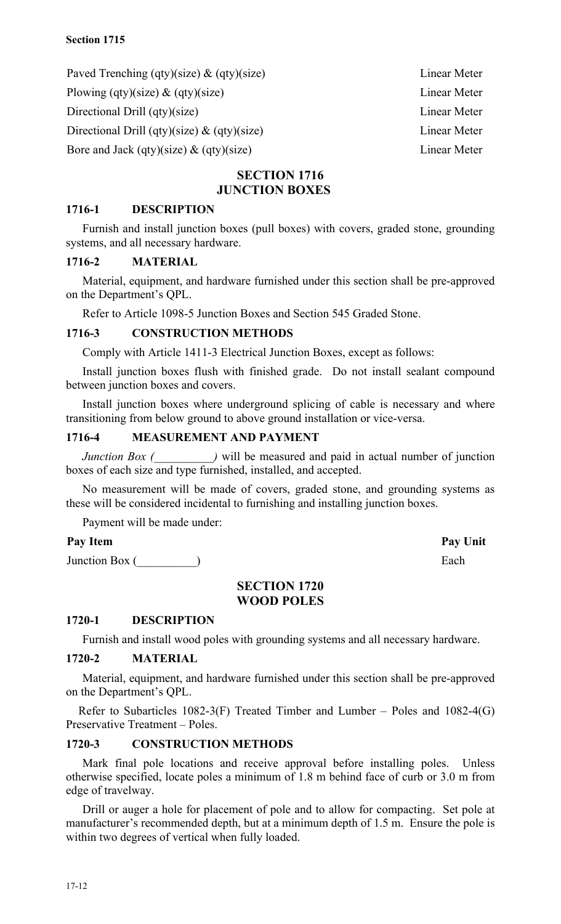Paved Trenching (qty)(size) & (qty)(size) Linear Meter Plowing (qty)(size) & (qty)(size) Linear Meter Directional Drill (qty)(size) Linear Meter Directional Drill (qty)(size) & (qty)(size) Linear Meter Bore and Jack (qty)(size) & (qty)(size) Linear Meter

# **SECTION 1716 JUNCTION BOXES**

# **1716-1 DESCRIPTION**

Furnish and install junction boxes (pull boxes) with covers, graded stone, grounding systems, and all necessary hardware.

# **1716-2 MATERIAL**

Material, equipment, and hardware furnished under this section shall be pre-approved on the Department's QPL.

Refer to Article 1098-5 Junction Boxes and Section 545 Graded Stone.

## **1716-3 CONSTRUCTION METHODS**

Comply with Article 1411-3 Electrical Junction Boxes, except as follows:

Install junction boxes flush with finished grade. Do not install sealant compound between junction boxes and covers.

Install junction boxes where underground splicing of cable is necessary and where transitioning from below ground to above ground installation or vice-versa.

# **1716-4 MEASUREMENT AND PAYMENT**

*Junction Box (\_\_\_\_\_\_\_\_\_)* will be measured and paid in actual number of junction boxes of each size and type furnished, installed, and accepted.

No measurement will be made of covers, graded stone, and grounding systems as these will be considered incidental to furnishing and installing junction boxes.

Payment will be made under:

# Pay Item Pay Unit

Junction Box (  $\qquad \qquad$  )

# **SECTION 1720 WOOD POLES**

# **1720-1 DESCRIPTION**

Furnish and install wood poles with grounding systems and all necessary hardware.

# **1720-2 MATERIAL**

Material, equipment, and hardware furnished under this section shall be pre-approved on the Department's QPL.

Refer to Subarticles 1082-3(F) Treated Timber and Lumber – Poles and 1082-4(G) Preservative Treatment – Poles.

# **1720-3 CONSTRUCTION METHODS**

Mark final pole locations and receive approval before installing poles. Unless otherwise specified, locate poles a minimum of 1.8 m behind face of curb or 3.0 m from edge of travelway.

Drill or auger a hole for placement of pole and to allow for compacting. Set pole at manufacturer's recommended depth, but at a minimum depth of 1.5 m. Ensure the pole is within two degrees of vertical when fully loaded.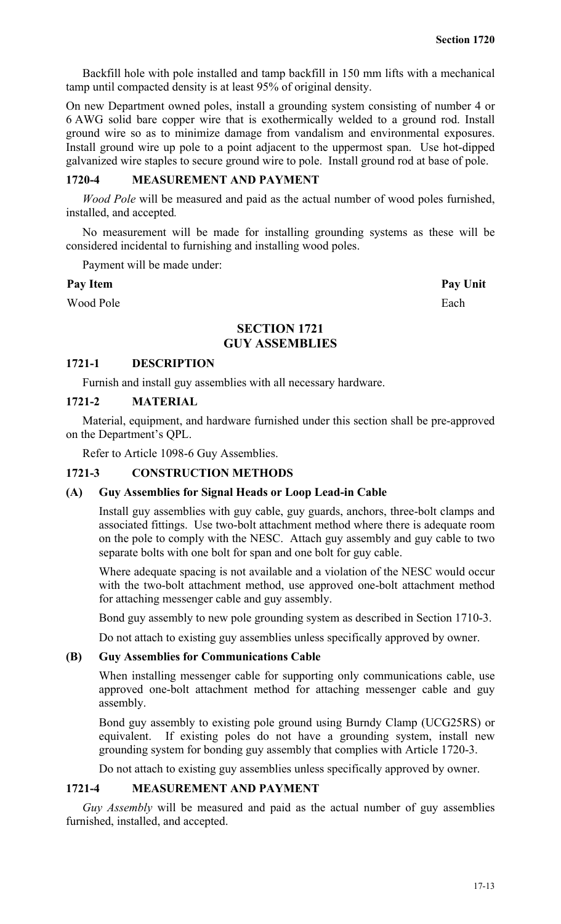Backfill hole with pole installed and tamp backfill in 150 mm lifts with a mechanical tamp until compacted density is at least 95% of original density.

On new Department owned poles, install a grounding system consisting of number 4 or 6 AWG solid bare copper wire that is exothermically welded to a ground rod. Install ground wire so as to minimize damage from vandalism and environmental exposures. Install ground wire up pole to a point adjacent to the uppermost span. Use hot-dipped galvanized wire staples to secure ground wire to pole. Install ground rod at base of pole.

## **1720-4 MEASUREMENT AND PAYMENT**

*Wood Pole* will be measured and paid as the actual number of wood poles furnished, installed, and accepted*.*

No measurement will be made for installing grounding systems as these will be considered incidental to furnishing and installing wood poles.

Payment will be made under:

#### Pay Item Pay Unit

Wood Pole Each

# **SECTION 1721 GUY ASSEMBLIES**

#### **1721-1 DESCRIPTION**

Furnish and install guy assemblies with all necessary hardware.

## **1721-2 MATERIAL**

Material, equipment, and hardware furnished under this section shall be pre-approved on the Department's QPL.

Refer to Article 1098-6 Guy Assemblies.

# **1721-3 CONSTRUCTION METHODS**

#### **(A) Guy Assemblies for Signal Heads or Loop Lead-in Cable**

Install guy assemblies with guy cable, guy guards, anchors, three-bolt clamps and associated fittings. Use two-bolt attachment method where there is adequate room on the pole to comply with the NESC. Attach guy assembly and guy cable to two separate bolts with one bolt for span and one bolt for guy cable.

Where adequate spacing is not available and a violation of the NESC would occur with the two-bolt attachment method, use approved one-bolt attachment method for attaching messenger cable and guy assembly.

Bond guy assembly to new pole grounding system as described in Section 1710-3.

Do not attach to existing guy assemblies unless specifically approved by owner.

#### **(B) Guy Assemblies for Communications Cable**

When installing messenger cable for supporting only communications cable, use approved one-bolt attachment method for attaching messenger cable and guy assembly.

Bond guy assembly to existing pole ground using Burndy Clamp (UCG25RS) or equivalent. If existing poles do not have a grounding system, install new grounding system for bonding guy assembly that complies with Article 1720-3.

Do not attach to existing guy assemblies unless specifically approved by owner.

# **1721-4 MEASUREMENT AND PAYMENT**

*Guy Assembly* will be measured and paid as the actual number of guy assemblies furnished, installed, and accepted.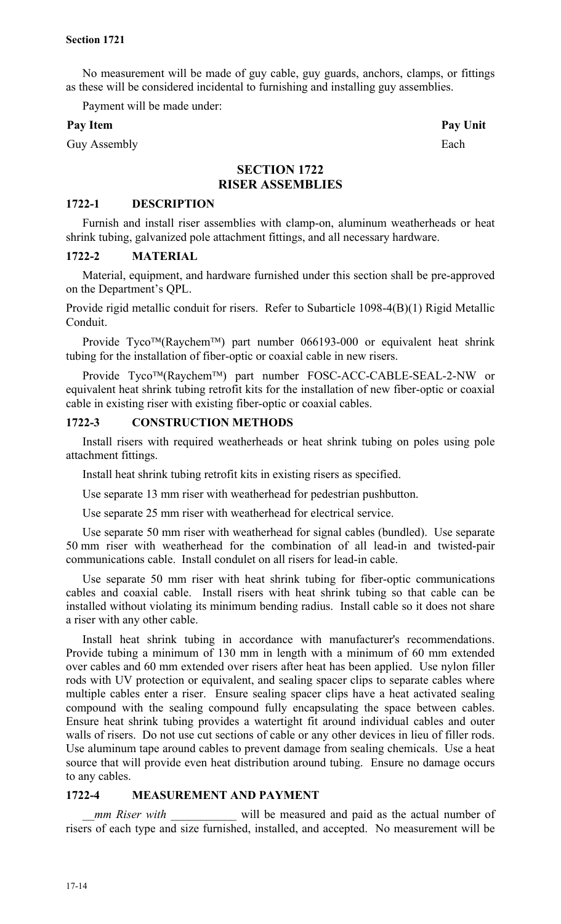No measurement will be made of guy cable, guy guards, anchors, clamps, or fittings as these will be considered incidental to furnishing and installing guy assemblies.

Payment will be made under:

## Pay Item Pay Unit

Guy Assembly Each

# **SECTION 1722 RISER ASSEMBLIES**

# **1722-1 DESCRIPTION**

Furnish and install riser assemblies with clamp-on, aluminum weatherheads or heat shrink tubing, galvanized pole attachment fittings, and all necessary hardware.

## **1722-2 MATERIAL**

Material, equipment, and hardware furnished under this section shall be pre-approved on the Department's QPL.

Provide rigid metallic conduit for risers. Refer to Subarticle 1098-4(B)(1) Rigid Metallic Conduit.

Provide Tyco<sup>TM</sup>(Raychem<sup>TM</sup>) part number 066193-000 or equivalent heat shrink tubing for the installation of fiber-optic or coaxial cable in new risers.

Provide Tyco™(Raychem™) part number FOSC-ACC-CABLE-SEAL-2-NW or equivalent heat shrink tubing retrofit kits for the installation of new fiber-optic or coaxial cable in existing riser with existing fiber-optic or coaxial cables.

## **1722-3 CONSTRUCTION METHODS**

Install risers with required weatherheads or heat shrink tubing on poles using pole attachment fittings.

Install heat shrink tubing retrofit kits in existing risers as specified.

Use separate 13 mm riser with weatherhead for pedestrian pushbutton.

Use separate 25 mm riser with weatherhead for electrical service.

Use separate 50 mm riser with weatherhead for signal cables (bundled). Use separate 50 mm riser with weatherhead for the combination of all lead-in and twisted-pair communications cable. Install condulet on all risers for lead-in cable.

Use separate 50 mm riser with heat shrink tubing for fiber-optic communications cables and coaxial cable. Install risers with heat shrink tubing so that cable can be installed without violating its minimum bending radius. Install cable so it does not share a riser with any other cable.

Install heat shrink tubing in accordance with manufacturer's recommendations. Provide tubing a minimum of 130 mm in length with a minimum of 60 mm extended over cables and 60 mm extended over risers after heat has been applied. Use nylon filler rods with UV protection or equivalent, and sealing spacer clips to separate cables where multiple cables enter a riser. Ensure sealing spacer clips have a heat activated sealing compound with the sealing compound fully encapsulating the space between cables. Ensure heat shrink tubing provides a watertight fit around individual cables and outer walls of risers. Do not use cut sections of cable or any other devices in lieu of filler rods. Use aluminum tape around cables to prevent damage from sealing chemicals. Use a heat source that will provide even heat distribution around tubing. Ensure no damage occurs to any cables.

# **1722-4 MEASUREMENT AND PAYMENT**

*mm Riser with* **will be measured and paid as the actual number of** risers of each type and size furnished, installed, and accepted. No measurement will be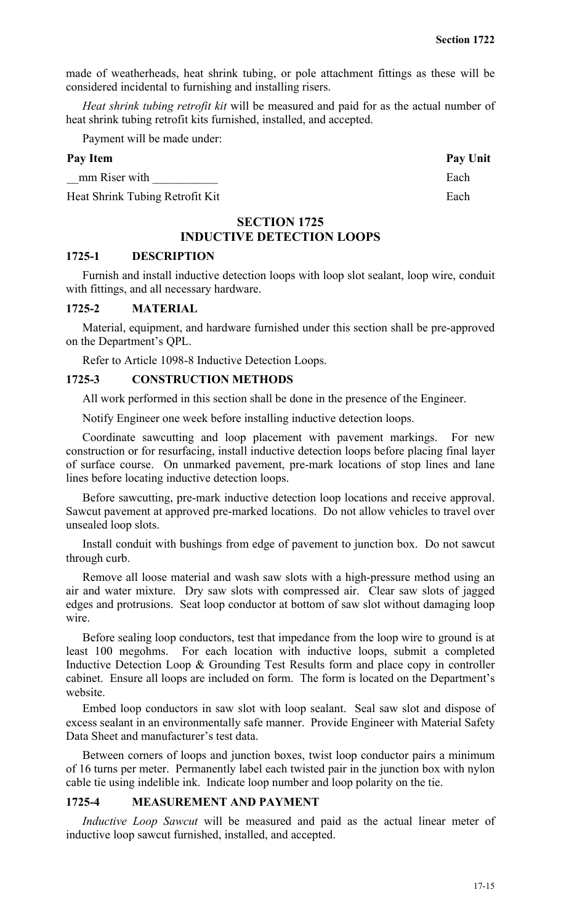made of weatherheads, heat shrink tubing, or pole attachment fittings as these will be considered incidental to furnishing and installing risers.

*Heat shrink tubing retrofit kit* will be measured and paid for as the actual number of heat shrink tubing retrofit kits furnished, installed, and accepted.

Payment will be made under:

## Pay Item Pay Unit

mm Riser with Each

Heat Shrink Tubing Retrofit Kit Each

# **SECTION 1725**

# **INDUCTIVE DETECTION LOOPS**

## **1725-1 DESCRIPTION**

Furnish and install inductive detection loops with loop slot sealant, loop wire, conduit with fittings, and all necessary hardware.

#### **1725-2 MATERIAL**

Material, equipment, and hardware furnished under this section shall be pre-approved on the Department's QPL.

Refer to Article 1098-8 Inductive Detection Loops.

## **1725-3 CONSTRUCTION METHODS**

All work performed in this section shall be done in the presence of the Engineer.

Notify Engineer one week before installing inductive detection loops.

Coordinate sawcutting and loop placement with pavement markings. For new construction or for resurfacing, install inductive detection loops before placing final layer of surface course. On unmarked pavement, pre-mark locations of stop lines and lane lines before locating inductive detection loops.

Before sawcutting, pre-mark inductive detection loop locations and receive approval. Sawcut pavement at approved pre-marked locations. Do not allow vehicles to travel over unsealed loop slots.

Install conduit with bushings from edge of pavement to junction box. Do not sawcut through curb.

Remove all loose material and wash saw slots with a high-pressure method using an air and water mixture. Dry saw slots with compressed air. Clear saw slots of jagged edges and protrusions. Seat loop conductor at bottom of saw slot without damaging loop wire.

Before sealing loop conductors, test that impedance from the loop wire to ground is at least 100 megohms. For each location with inductive loops, submit a completed Inductive Detection Loop & Grounding Test Results form and place copy in controller cabinet. Ensure all loops are included on form. The form is located on the Department's website.

Embed loop conductors in saw slot with loop sealant. Seal saw slot and dispose of excess sealant in an environmentally safe manner. Provide Engineer with Material Safety Data Sheet and manufacturer's test data.

Between corners of loops and junction boxes, twist loop conductor pairs a minimum of 16 turns per meter. Permanently label each twisted pair in the junction box with nylon cable tie using indelible ink. Indicate loop number and loop polarity on the tie.

# **1725-4 MEASUREMENT AND PAYMENT**

*Inductive Loop Sawcut* will be measured and paid as the actual linear meter of inductive loop sawcut furnished, installed, and accepted.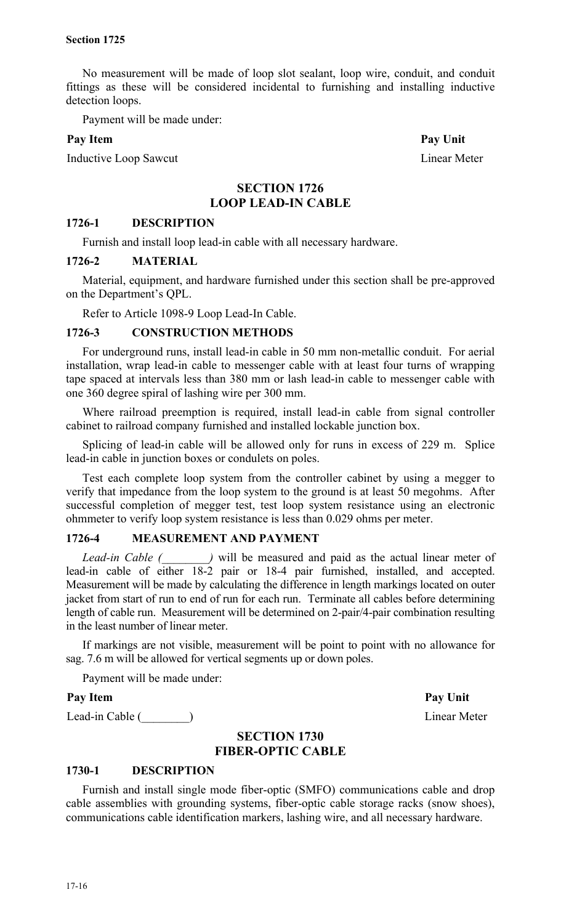No measurement will be made of loop slot sealant, loop wire, conduit, and conduit fittings as these will be considered incidental to furnishing and installing inductive detection loops.

Payment will be made under:

## Pay Item Pay Unit

Inductive Loop Sawcut Linear Meter

# **SECTION 1726 LOOP LEAD-IN CABLE**

## **1726-1 DESCRIPTION**

Furnish and install loop lead-in cable with all necessary hardware.

## **1726-2 MATERIAL**

Material, equipment, and hardware furnished under this section shall be pre-approved on the Department's QPL.

Refer to Article 1098-9 Loop Lead-In Cable.

## **1726-3 CONSTRUCTION METHODS**

For underground runs, install lead-in cable in 50 mm non-metallic conduit. For aerial installation, wrap lead-in cable to messenger cable with at least four turns of wrapping tape spaced at intervals less than 380 mm or lash lead-in cable to messenger cable with one 360 degree spiral of lashing wire per 300 mm.

Where railroad preemption is required, install lead-in cable from signal controller cabinet to railroad company furnished and installed lockable junction box.

Splicing of lead-in cable will be allowed only for runs in excess of 229 m. Splice lead-in cable in junction boxes or condulets on poles.

Test each complete loop system from the controller cabinet by using a megger to verify that impedance from the loop system to the ground is at least 50 megohms. After successful completion of megger test, test loop system resistance using an electronic ohmmeter to verify loop system resistance is less than 0.029 ohms per meter.

# **1726-4 MEASUREMENT AND PAYMENT**

*Lead-in Cable (*  $\blacksquare$ ) will be measured and paid as the actual linear meter of lead-in cable of either 18-2 pair or 18-4 pair furnished, installed, and accepted. Measurement will be made by calculating the difference in length markings located on outer jacket from start of run to end of run for each run. Terminate all cables before determining length of cable run. Measurement will be determined on 2-pair/4-pair combination resulting in the least number of linear meter.

If markings are not visible, measurement will be point to point with no allowance for sag. 7.6 m will be allowed for vertical segments up or down poles.

Payment will be made under:

## Pay Item Pay Unit

Lead-in Cable (  $\qquad$  )

# **SECTION 1730 FIBER-OPTIC CABLE**

# **1730-1 DESCRIPTION**

Furnish and install single mode fiber-optic (SMFO) communications cable and drop cable assemblies with grounding systems, fiber-optic cable storage racks (snow shoes), communications cable identification markers, lashing wire, and all necessary hardware.

17-16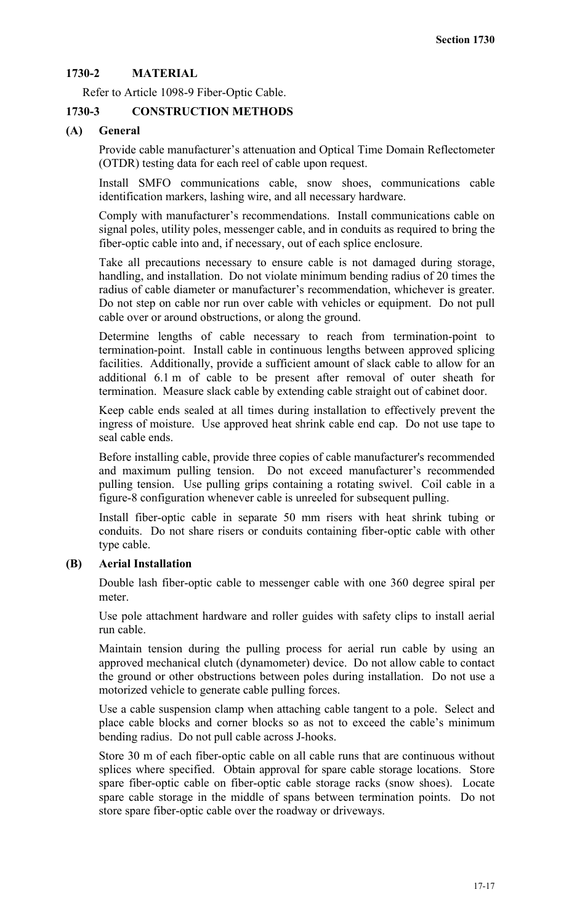# **1730-2 MATERIAL**

Refer to Article 1098-9 Fiber-Optic Cable.

# **1730-3 CONSTRUCTION METHODS**

# **(A) General**

Provide cable manufacturer's attenuation and Optical Time Domain Reflectometer (OTDR) testing data for each reel of cable upon request.

Install SMFO communications cable, snow shoes, communications cable identification markers, lashing wire, and all necessary hardware.

Comply with manufacturer's recommendations. Install communications cable on signal poles, utility poles, messenger cable, and in conduits as required to bring the fiber-optic cable into and, if necessary, out of each splice enclosure.

Take all precautions necessary to ensure cable is not damaged during storage, handling, and installation. Do not violate minimum bending radius of 20 times the radius of cable diameter or manufacturer's recommendation, whichever is greater. Do not step on cable nor run over cable with vehicles or equipment. Do not pull cable over or around obstructions, or along the ground.

Determine lengths of cable necessary to reach from termination-point to termination-point. Install cable in continuous lengths between approved splicing facilities. Additionally, provide a sufficient amount of slack cable to allow for an additional 6.1 m of cable to be present after removal of outer sheath for termination. Measure slack cable by extending cable straight out of cabinet door.

Keep cable ends sealed at all times during installation to effectively prevent the ingress of moisture. Use approved heat shrink cable end cap. Do not use tape to seal cable ends.

Before installing cable, provide three copies of cable manufacturer's recommended and maximum pulling tension. Do not exceed manufacturer's recommended pulling tension. Use pulling grips containing a rotating swivel. Coil cable in a figure-8 configuration whenever cable is unreeled for subsequent pulling.

Install fiber-optic cable in separate 50 mm risers with heat shrink tubing or conduits. Do not share risers or conduits containing fiber-optic cable with other type cable.

# **(B) Aerial Installation**

Double lash fiber-optic cable to messenger cable with one 360 degree spiral per meter.

Use pole attachment hardware and roller guides with safety clips to install aerial run cable.

Maintain tension during the pulling process for aerial run cable by using an approved mechanical clutch (dynamometer) device. Do not allow cable to contact the ground or other obstructions between poles during installation. Do not use a motorized vehicle to generate cable pulling forces.

Use a cable suspension clamp when attaching cable tangent to a pole. Select and place cable blocks and corner blocks so as not to exceed the cable's minimum bending radius. Do not pull cable across J-hooks.

Store 30 m of each fiber-optic cable on all cable runs that are continuous without splices where specified. Obtain approval for spare cable storage locations. Store spare fiber-optic cable on fiber-optic cable storage racks (snow shoes). Locate spare cable storage in the middle of spans between termination points. Do not store spare fiber-optic cable over the roadway or driveways.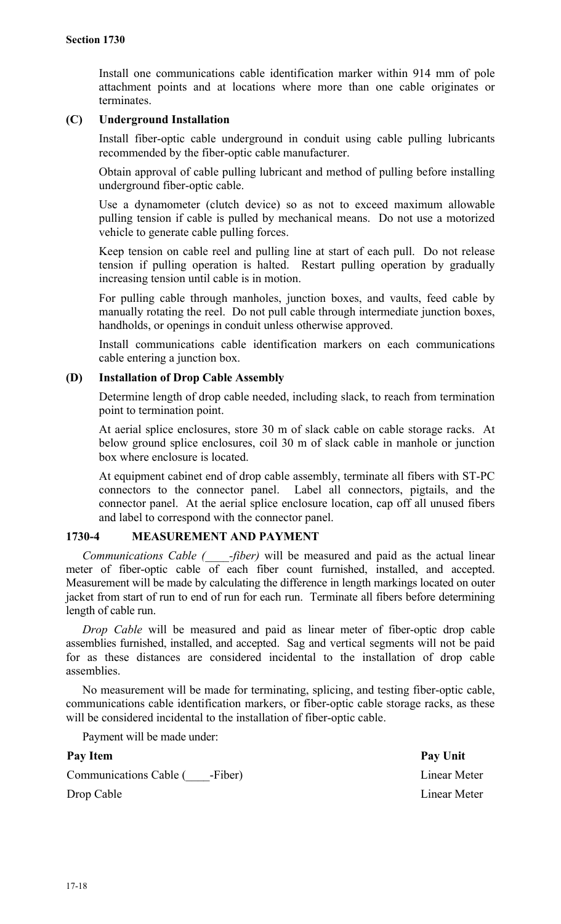Install one communications cable identification marker within 914 mm of pole attachment points and at locations where more than one cable originates or terminates.

# **(C) Underground Installation**

Install fiber-optic cable underground in conduit using cable pulling lubricants recommended by the fiber-optic cable manufacturer.

Obtain approval of cable pulling lubricant and method of pulling before installing underground fiber-optic cable.

Use a dynamometer (clutch device) so as not to exceed maximum allowable pulling tension if cable is pulled by mechanical means. Do not use a motorized vehicle to generate cable pulling forces.

Keep tension on cable reel and pulling line at start of each pull. Do not release tension if pulling operation is halted. Restart pulling operation by gradually increasing tension until cable is in motion.

For pulling cable through manholes, junction boxes, and vaults, feed cable by manually rotating the reel. Do not pull cable through intermediate junction boxes, handholds, or openings in conduit unless otherwise approved.

Install communications cable identification markers on each communications cable entering a junction box.

## **(D) Installation of Drop Cable Assembly**

Determine length of drop cable needed, including slack, to reach from termination point to termination point.

At aerial splice enclosures, store 30 m of slack cable on cable storage racks. At below ground splice enclosures, coil 30 m of slack cable in manhole or junction box where enclosure is located.

At equipment cabinet end of drop cable assembly, terminate all fibers with ST-PC connectors to the connector panel. Label all connectors, pigtails, and the connector panel. At the aerial splice enclosure location, cap off all unused fibers and label to correspond with the connector panel.

# **1730-4 MEASUREMENT AND PAYMENT**

*Communications Cable (\_\_\_\_-fiber)* will be measured and paid as the actual linear meter of fiber-optic cable of each fiber count furnished, installed, and accepted. Measurement will be made by calculating the difference in length markings located on outer jacket from start of run to end of run for each run. Terminate all fibers before determining length of cable run.

*Drop Cable* will be measured and paid as linear meter of fiber-optic drop cable assemblies furnished, installed, and accepted. Sag and vertical segments will not be paid for as these distances are considered incidental to the installation of drop cable assemblies.

No measurement will be made for terminating, splicing, and testing fiber-optic cable, communications cable identification markers, or fiber-optic cable storage racks, as these will be considered incidental to the installation of fiber-optic cable.

Payment will be made under:

Pay Item Pay Unit Communications Cable ( \_\_\_\_-Fiber) Linear Meter Drop Cable Linear Meter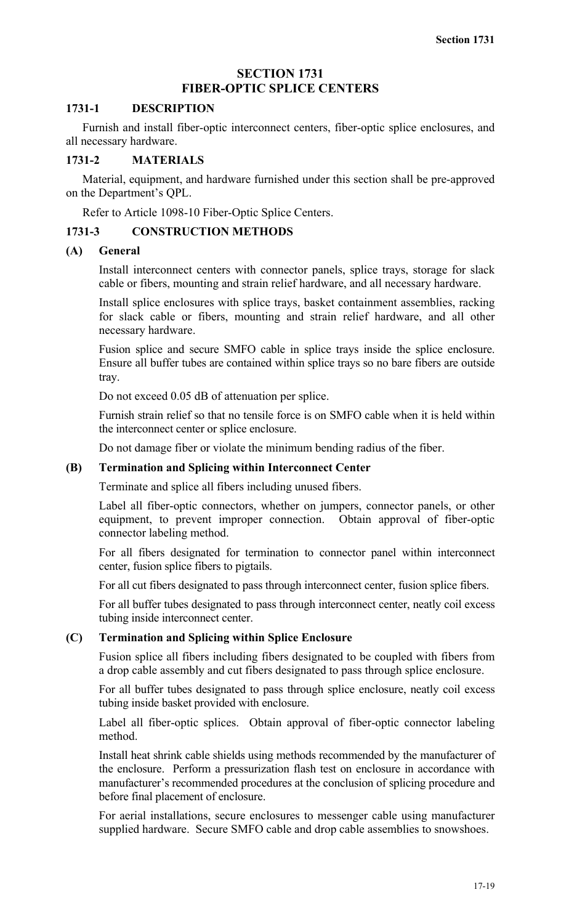# **SECTION 1731 FIBER-OPTIC SPLICE CENTERS**

## **1731-1 DESCRIPTION**

Furnish and install fiber-optic interconnect centers, fiber-optic splice enclosures, and all necessary hardware.

## **1731-2 MATERIALS**

Material, equipment, and hardware furnished under this section shall be pre-approved on the Department's QPL.

Refer to Article 1098-10 Fiber-Optic Splice Centers.

# **1731-3 CONSTRUCTION METHODS**

## **(A) General**

Install interconnect centers with connector panels, splice trays, storage for slack cable or fibers, mounting and strain relief hardware, and all necessary hardware.

Install splice enclosures with splice trays, basket containment assemblies, racking for slack cable or fibers, mounting and strain relief hardware, and all other necessary hardware.

Fusion splice and secure SMFO cable in splice trays inside the splice enclosure. Ensure all buffer tubes are contained within splice trays so no bare fibers are outside tray.

Do not exceed 0.05 dB of attenuation per splice.

Furnish strain relief so that no tensile force is on SMFO cable when it is held within the interconnect center or splice enclosure.

Do not damage fiber or violate the minimum bending radius of the fiber.

## **(B) Termination and Splicing within Interconnect Center**

Terminate and splice all fibers including unused fibers.

Label all fiber-optic connectors, whether on jumpers, connector panels, or other equipment, to prevent improper connection. Obtain approval of fiber-optic connector labeling method.

For all fibers designated for termination to connector panel within interconnect center, fusion splice fibers to pigtails.

For all cut fibers designated to pass through interconnect center, fusion splice fibers.

For all buffer tubes designated to pass through interconnect center, neatly coil excess tubing inside interconnect center.

## **(C) Termination and Splicing within Splice Enclosure**

Fusion splice all fibers including fibers designated to be coupled with fibers from a drop cable assembly and cut fibers designated to pass through splice enclosure.

For all buffer tubes designated to pass through splice enclosure, neatly coil excess tubing inside basket provided with enclosure.

Label all fiber-optic splices. Obtain approval of fiber-optic connector labeling method.

Install heat shrink cable shields using methods recommended by the manufacturer of the enclosure. Perform a pressurization flash test on enclosure in accordance with manufacturer's recommended procedures at the conclusion of splicing procedure and before final placement of enclosure.

For aerial installations, secure enclosures to messenger cable using manufacturer supplied hardware. Secure SMFO cable and drop cable assemblies to snowshoes.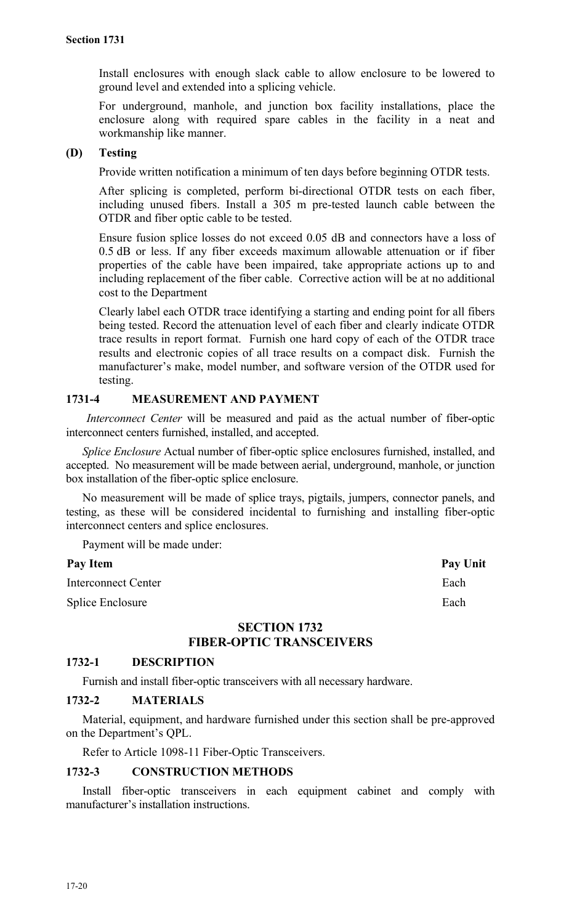Install enclosures with enough slack cable to allow enclosure to be lowered to ground level and extended into a splicing vehicle.

For underground, manhole, and junction box facility installations, place the enclosure along with required spare cables in the facility in a neat and workmanship like manner.

## **(D) Testing**

Provide written notification a minimum of ten days before beginning OTDR tests.

After splicing is completed, perform bi-directional OTDR tests on each fiber, including unused fibers. Install a 305 m pre-tested launch cable between the OTDR and fiber optic cable to be tested.

Ensure fusion splice losses do not exceed 0.05 dB and connectors have a loss of 0.5 dB or less. If any fiber exceeds maximum allowable attenuation or if fiber properties of the cable have been impaired, take appropriate actions up to and including replacement of the fiber cable. Corrective action will be at no additional cost to the Department

Clearly label each OTDR trace identifying a starting and ending point for all fibers being tested. Record the attenuation level of each fiber and clearly indicate OTDR trace results in report format. Furnish one hard copy of each of the OTDR trace results and electronic copies of all trace results on a compact disk. Furnish the manufacturer's make, model number, and software version of the OTDR used for testing.

# **1731-4 MEASUREMENT AND PAYMENT**

*Interconnect Center* will be measured and paid as the actual number of fiber-optic interconnect centers furnished, installed, and accepted.

*Splice Enclosure* Actual number of fiber-optic splice enclosures furnished, installed, and accepted. No measurement will be made between aerial, underground, manhole, or junction box installation of the fiber-optic splice enclosure.

No measurement will be made of splice trays, pigtails, jumpers, connector panels, and testing, as these will be considered incidental to furnishing and installing fiber-optic interconnect centers and splice enclosures.

Payment will be made under:

| <b>Pay Item</b> | <b>Pay Unit</b> |
|-----------------|-----------------|
|-----------------|-----------------|

Interconnect Center **Each** Splice Enclosure Each

# **SECTION 1732**

# **FIBER-OPTIC TRANSCEIVERS**

# **1732-1 DESCRIPTION**

Furnish and install fiber-optic transceivers with all necessary hardware.

## **1732-2 MATERIALS**

Material, equipment, and hardware furnished under this section shall be pre-approved on the Department's QPL.

Refer to Article 1098-11 Fiber-Optic Transceivers.

# **1732-3 CONSTRUCTION METHODS**

Install fiber-optic transceivers in each equipment cabinet and comply with manufacturer's installation instructions.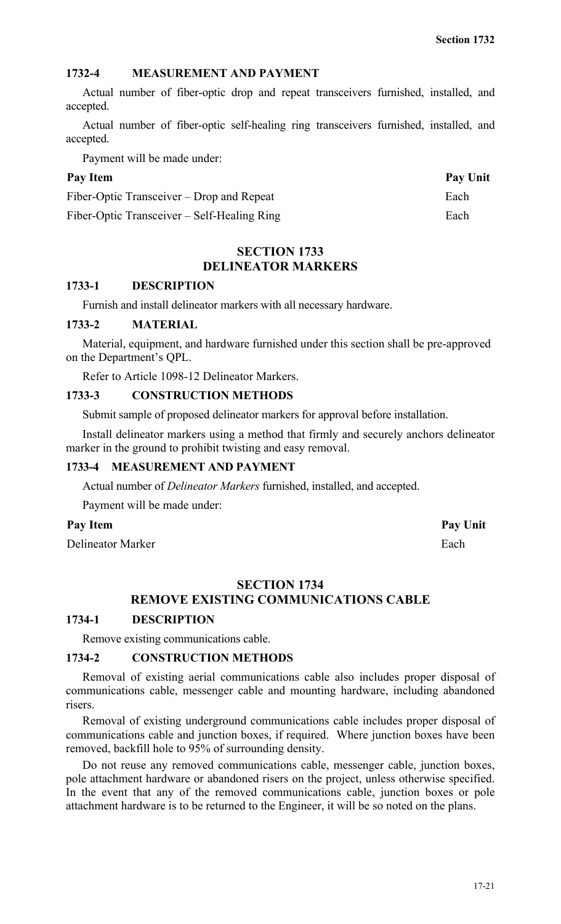# **1732-4 MEASUREMENT AND PAYMENT**

Actual number of fiber-optic drop and repeat transceivers furnished, installed, and accepted.

Actual number of fiber-optic self-healing ring transceivers furnished, installed, and accepted.

Payment will be made under:

Pay Item Pay Unit Fiber-Optic Transceiver – Drop and Repeat Each Fiber-Optic Transceiver – Self-Healing Ring Each

# **SECTION 1733 DELINEATOR MARKERS**

## **1733-1 DESCRIPTION**

Furnish and install delineator markers with all necessary hardware.

## **1733-2 MATERIAL**

Material, equipment, and hardware furnished under this section shall be pre-approved on the Department's QPL.

Refer to Article 1098-12 Delineator Markers.

## **1733-3 CONSTRUCTION METHODS**

Submit sample of proposed delineator markers for approval before installation.

Install delineator markers using a method that firmly and securely anchors delineator marker in the ground to prohibit twisting and easy removal.

# **1733-4 MEASUREMENT AND PAYMENT**

Actual number of *Delineator Markers* furnished, installed, and accepted.

Payment will be made under:

# Pay Item **Pay Unit**

Delineator Marker Each

# **SECTION 1734**

# **REMOVE EXISTING COMMUNICATIONS CABLE**

# **1734-1 DESCRIPTION**

Remove existing communications cable.

## **1734-2 CONSTRUCTION METHODS**

Removal of existing aerial communications cable also includes proper disposal of communications cable, messenger cable and mounting hardware, including abandoned risers.

Removal of existing underground communications cable includes proper disposal of communications cable and junction boxes, if required. Where junction boxes have been removed, backfill hole to 95% of surrounding density.

Do not reuse any removed communications cable, messenger cable, junction boxes, pole attachment hardware or abandoned risers on the project, unless otherwise specified. In the event that any of the removed communications cable, junction boxes or pole attachment hardware is to be returned to the Engineer, it will be so noted on the plans.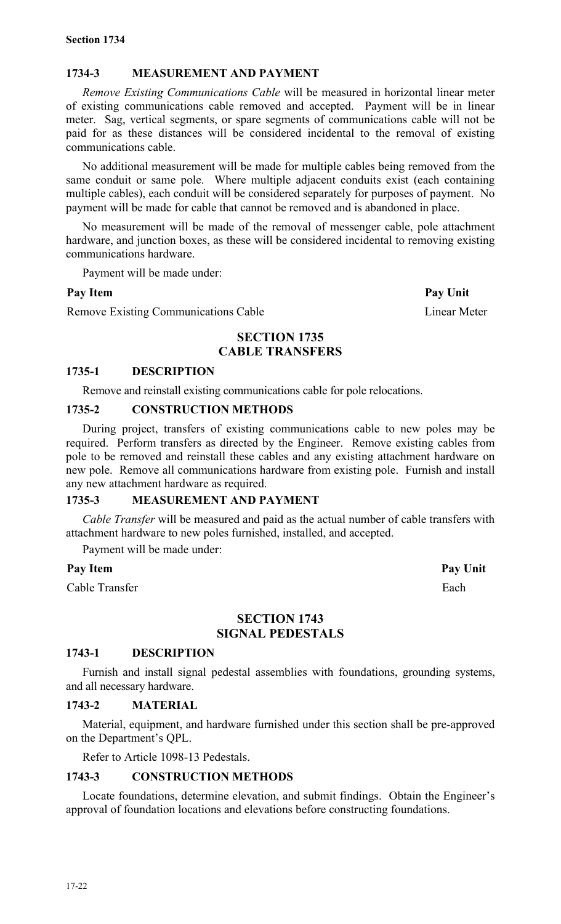# **1734-3 MEASUREMENT AND PAYMENT**

*Remove Existing Communications Cable* will be measured in horizontal linear meter of existing communications cable removed and accepted. Payment will be in linear meter. Sag, vertical segments, or spare segments of communications cable will not be paid for as these distances will be considered incidental to the removal of existing communications cable.

No additional measurement will be made for multiple cables being removed from the same conduit or same pole. Where multiple adjacent conduits exist (each containing multiple cables), each conduit will be considered separately for purposes of payment. No payment will be made for cable that cannot be removed and is abandoned in place.

No measurement will be made of the removal of messenger cable, pole attachment hardware, and junction boxes, as these will be considered incidental to removing existing communications hardware.

Payment will be made under:

Remove Existing Communications Cable Linear Meter

# **SECTION 1735 CABLE TRANSFERS**

## **1735-1 DESCRIPTION**

Remove and reinstall existing communications cable for pole relocations.

## **1735-2 CONSTRUCTION METHODS**

During project, transfers of existing communications cable to new poles may be required. Perform transfers as directed by the Engineer. Remove existing cables from pole to be removed and reinstall these cables and any existing attachment hardware on new pole. Remove all communications hardware from existing pole. Furnish and install any new attachment hardware as required.

# **1735-3 MEASUREMENT AND PAYMENT**

*Cable Transfer* will be measured and paid as the actual number of cable transfers with attachment hardware to new poles furnished, installed, and accepted.

Payment will be made under:

## Pay Item Pay Unit

Cable Transfer Each

# **SECTION 1743 SIGNAL PEDESTALS**

## **1743-1 DESCRIPTION**

Furnish and install signal pedestal assemblies with foundations, grounding systems, and all necessary hardware.

## **1743-2 MATERIAL**

Material, equipment, and hardware furnished under this section shall be pre-approved on the Department's QPL.

Refer to Article 1098-13 Pedestals.

# **1743-3 CONSTRUCTION METHODS**

Locate foundations, determine elevation, and submit findings. Obtain the Engineer's approval of foundation locations and elevations before constructing foundations.

**Pay Item Pay Unit**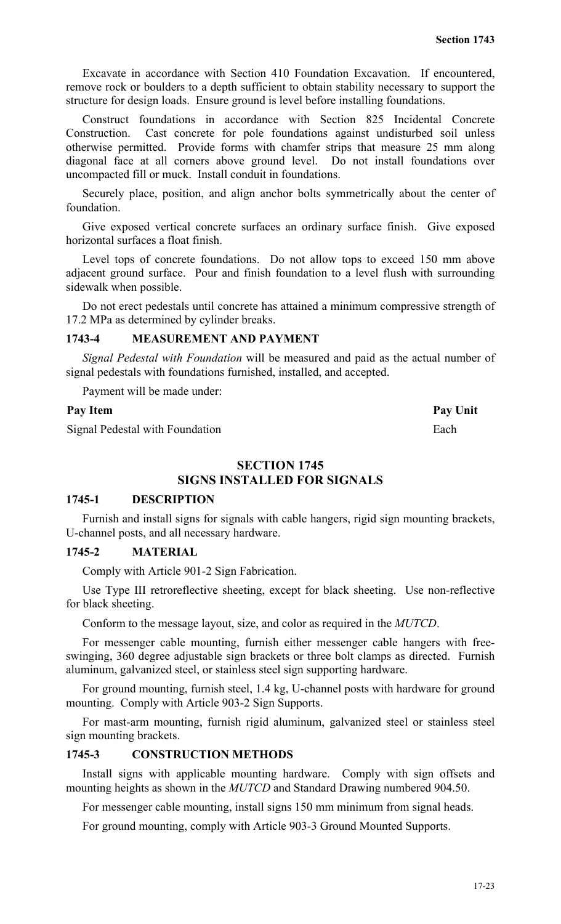Excavate in accordance with Section 410 Foundation Excavation. If encountered, remove rock or boulders to a depth sufficient to obtain stability necessary to support the structure for design loads. Ensure ground is level before installing foundations.

Construct foundations in accordance with Section 825 Incidental Concrete Construction. Cast concrete for pole foundations against undisturbed soil unless otherwise permitted. Provide forms with chamfer strips that measure 25 mm along diagonal face at all corners above ground level. Do not install foundations over uncompacted fill or muck. Install conduit in foundations.

Securely place, position, and align anchor bolts symmetrically about the center of foundation.

Give exposed vertical concrete surfaces an ordinary surface finish. Give exposed horizontal surfaces a float finish.

Level tops of concrete foundations. Do not allow tops to exceed 150 mm above adjacent ground surface. Pour and finish foundation to a level flush with surrounding sidewalk when possible.

Do not erect pedestals until concrete has attained a minimum compressive strength of 17.2 MPa as determined by cylinder breaks.

# **1743-4 MEASUREMENT AND PAYMENT**

*Signal Pedestal with Foundation* will be measured and paid as the actual number of signal pedestals with foundations furnished, installed, and accepted.

Payment will be made under:

## Pay Item **Pay Unit**

Signal Pedestal with Foundation Each

**SECTION 1745**

# **SIGNS INSTALLED FOR SIGNALS**

## **1745-1 DESCRIPTION**

Furnish and install signs for signals with cable hangers, rigid sign mounting brackets, U-channel posts, and all necessary hardware.

## **1745-2 MATERIAL**

Comply with Article 901-2 Sign Fabrication.

Use Type III retroreflective sheeting, except for black sheeting. Use non-reflective for black sheeting.

Conform to the message layout, size, and color as required in the *MUTCD*.

For messenger cable mounting, furnish either messenger cable hangers with freeswinging, 360 degree adjustable sign brackets or three bolt clamps as directed. Furnish aluminum, galvanized steel, or stainless steel sign supporting hardware.

For ground mounting, furnish steel, 1.4 kg, U-channel posts with hardware for ground mounting. Comply with Article 903-2 Sign Supports.

For mast-arm mounting, furnish rigid aluminum, galvanized steel or stainless steel sign mounting brackets.

## **1745-3 CONSTRUCTION METHODS**

Install signs with applicable mounting hardware. Comply with sign offsets and mounting heights as shown in the *MUTCD* and Standard Drawing numbered 904.50.

For messenger cable mounting, install signs 150 mm minimum from signal heads.

For ground mounting, comply with Article 903-3 Ground Mounted Supports.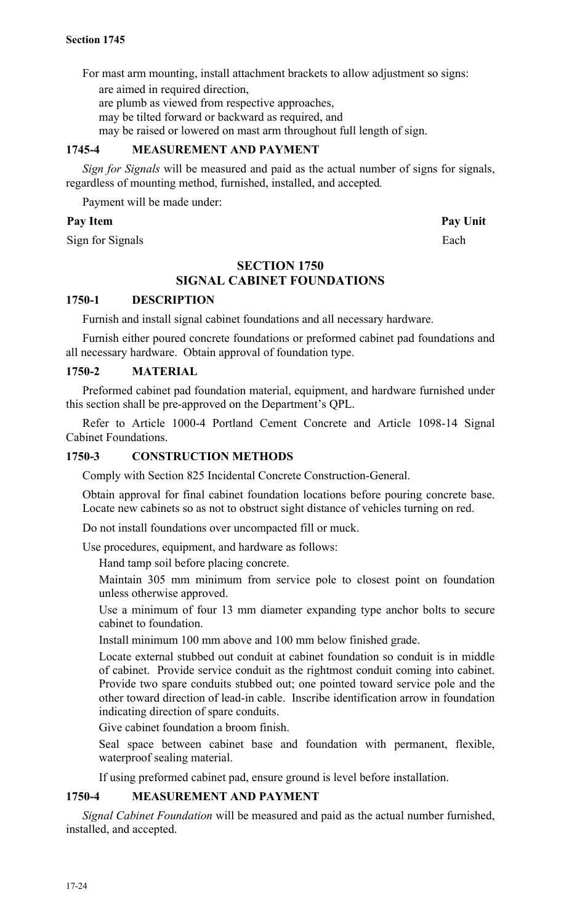For mast arm mounting, install attachment brackets to allow adjustment so signs:

are aimed in required direction,

are plumb as viewed from respective approaches,

may be tilted forward or backward as required, and

may be raised or lowered on mast arm throughout full length of sign.

# **1745-4 MEASUREMENT AND PAYMENT**

*Sign for Signals* will be measured and paid as the actual number of signs for signals, regardless of mounting method, furnished, installed, and accepted*.*

Payment will be made under:

# Pay Item Pay Unit

Sign for Signals Each

# **SECTION 1750 SIGNAL CABINET FOUNDATIONS**

# **1750-1 DESCRIPTION**

Furnish and install signal cabinet foundations and all necessary hardware.

Furnish either poured concrete foundations or preformed cabinet pad foundations and all necessary hardware. Obtain approval of foundation type.

# **1750-2 MATERIAL**

Preformed cabinet pad foundation material, equipment, and hardware furnished under this section shall be pre-approved on the Department's QPL.

Refer to Article 1000-4 Portland Cement Concrete and Article 1098-14 Signal Cabinet Foundations.

# **1750-3 CONSTRUCTION METHODS**

Comply with Section 825 Incidental Concrete Construction-General.

Obtain approval for final cabinet foundation locations before pouring concrete base. Locate new cabinets so as not to obstruct sight distance of vehicles turning on red.

Do not install foundations over uncompacted fill or muck.

Use procedures, equipment, and hardware as follows:

Hand tamp soil before placing concrete.

Maintain 305 mm minimum from service pole to closest point on foundation unless otherwise approved.

Use a minimum of four 13 mm diameter expanding type anchor bolts to secure cabinet to foundation.

Install minimum 100 mm above and 100 mm below finished grade.

Locate external stubbed out conduit at cabinet foundation so conduit is in middle of cabinet. Provide service conduit as the rightmost conduit coming into cabinet. Provide two spare conduits stubbed out; one pointed toward service pole and the other toward direction of lead-in cable. Inscribe identification arrow in foundation indicating direction of spare conduits.

Give cabinet foundation a broom finish.

Seal space between cabinet base and foundation with permanent, flexible, waterproof sealing material.

If using preformed cabinet pad, ensure ground is level before installation.

# **1750-4 MEASUREMENT AND PAYMENT**

*Signal Cabinet Foundation* will be measured and paid as the actual number furnished, installed, and accepted.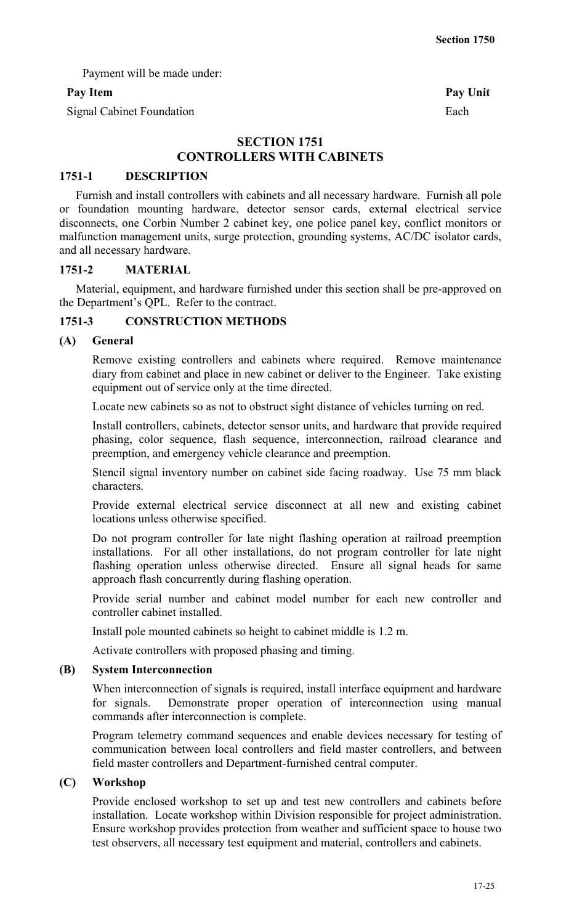Payment will be made under:

# Pay Item Pay Unit

Signal Cabinet Foundation Each

# **SECTION 1751 CONTROLLERS WITH CABINETS**

## **1751-1 DESCRIPTION**

Furnish and install controllers with cabinets and all necessary hardware. Furnish all pole or foundation mounting hardware, detector sensor cards, external electrical service disconnects, one Corbin Number 2 cabinet key, one police panel key, conflict monitors or malfunction management units, surge protection, grounding systems, AC/DC isolator cards, and all necessary hardware.

## **1751-2 MATERIAL**

Material, equipment, and hardware furnished under this section shall be pre-approved on the Department's QPL. Refer to the contract.

# **1751-3 CONSTRUCTION METHODS**

## **(A) General**

Remove existing controllers and cabinets where required. Remove maintenance diary from cabinet and place in new cabinet or deliver to the Engineer. Take existing equipment out of service only at the time directed.

Locate new cabinets so as not to obstruct sight distance of vehicles turning on red.

Install controllers, cabinets, detector sensor units, and hardware that provide required phasing, color sequence, flash sequence, interconnection, railroad clearance and preemption, and emergency vehicle clearance and preemption.

Stencil signal inventory number on cabinet side facing roadway. Use 75 mm black characters.

Provide external electrical service disconnect at all new and existing cabinet locations unless otherwise specified.

Do not program controller for late night flashing operation at railroad preemption installations. For all other installations, do not program controller for late night flashing operation unless otherwise directed. Ensure all signal heads for same approach flash concurrently during flashing operation.

Provide serial number and cabinet model number for each new controller and controller cabinet installed.

Install pole mounted cabinets so height to cabinet middle is 1.2 m.

Activate controllers with proposed phasing and timing.

## **(B) System Interconnection**

When interconnection of signals is required, install interface equipment and hardware for signals. Demonstrate proper operation of interconnection using manual commands after interconnection is complete.

Program telemetry command sequences and enable devices necessary for testing of communication between local controllers and field master controllers, and between field master controllers and Department-furnished central computer.

## **(C) Workshop**

Provide enclosed workshop to set up and test new controllers and cabinets before installation. Locate workshop within Division responsible for project administration. Ensure workshop provides protection from weather and sufficient space to house two test observers, all necessary test equipment and material, controllers and cabinets.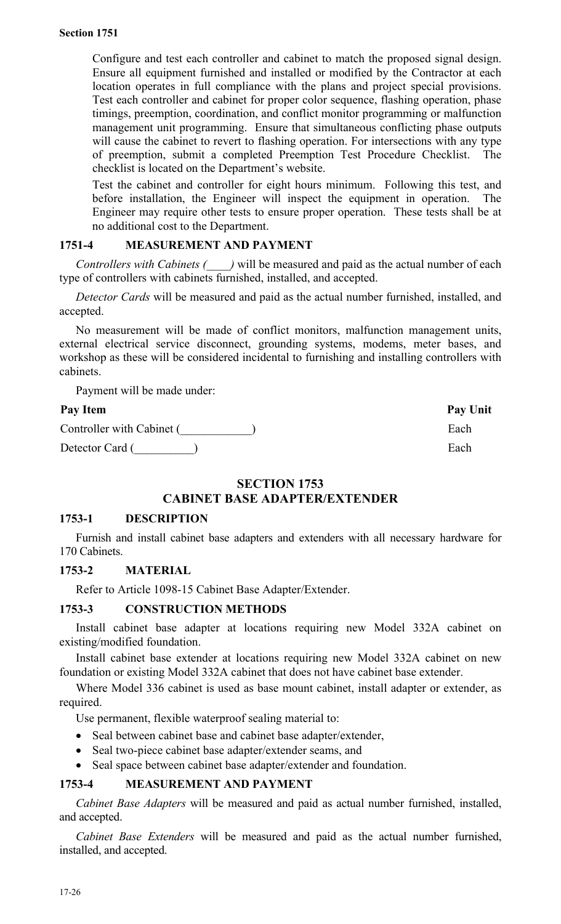Configure and test each controller and cabinet to match the proposed signal design. Ensure all equipment furnished and installed or modified by the Contractor at each location operates in full compliance with the plans and project special provisions. Test each controller and cabinet for proper color sequence, flashing operation, phase timings, preemption, coordination, and conflict monitor programming or malfunction management unit programming. Ensure that simultaneous conflicting phase outputs will cause the cabinet to revert to flashing operation. For intersections with any type of preemption, submit a completed Preemption Test Procedure Checklist. The checklist is located on the Department's website.

Test the cabinet and controller for eight hours minimum. Following this test, and before installation, the Engineer will inspect the equipment in operation. The Engineer may require other tests to ensure proper operation. These tests shall be at no additional cost to the Department.

# **1751-4 MEASUREMENT AND PAYMENT**

*Controllers with Cabinets (\_\_\_\_)* will be measured and paid as the actual number of each type of controllers with cabinets furnished, installed, and accepted.

*Detector Cards* will be measured and paid as the actual number furnished, installed, and accepted.

No measurement will be made of conflict monitors, malfunction management units, external electrical service disconnect, grounding systems, modems, meter bases, and workshop as these will be considered incidental to furnishing and installing controllers with cabinets.

Payment will be made under:

| Pay Item                  | Pay Unit |
|---------------------------|----------|
| Controller with Cabinet ( | Each     |
| Detector Card (           | Each     |

# **SECTION 1753 CABINET BASE ADAPTER/EXTENDER**

# **1753-1 DESCRIPTION**

Furnish and install cabinet base adapters and extenders with all necessary hardware for 170 Cabinets.

# **1753-2 MATERIAL**

Refer to Article 1098-15 Cabinet Base Adapter/Extender.

# **1753-3 CONSTRUCTION METHODS**

Install cabinet base adapter at locations requiring new Model 332A cabinet on existing/modified foundation.

Install cabinet base extender at locations requiring new Model 332A cabinet on new foundation or existing Model 332A cabinet that does not have cabinet base extender.

Where Model 336 cabinet is used as base mount cabinet, install adapter or extender, as required.

Use permanent, flexible waterproof sealing material to:

- Seal between cabinet base and cabinet base adapter/extender,
- Seal two-piece cabinet base adapter/extender seams, and
- Seal space between cabinet base adapter/extender and foundation.

# **1753-4 MEASUREMENT AND PAYMENT**

*Cabinet Base Adapters* will be measured and paid as actual number furnished, installed, and accepted.

*Cabinet Base Extenders* will be measured and paid as the actual number furnished, installed, and accepted.